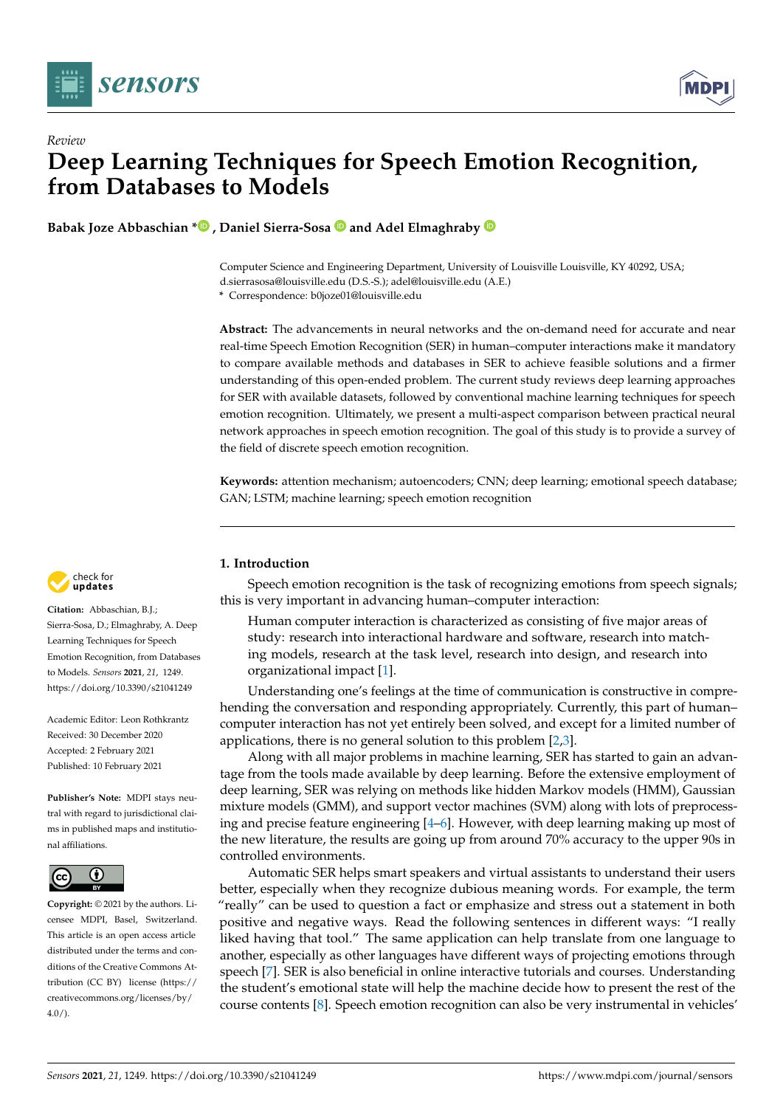

*Review*



# **Deep Learning Techniques for Speech Emotion Recognition, from Databases to Models**

**Babak Joze Abbaschian [\\*](https://orcid.org/0000-0003-4876-9372) , Daniel Sierra-Sosa and Adel Elmaghraby**

Computer Science and Engineering Department, University of Louisville Louisville, KY 40292, USA; d.sierrasosa@louisville.edu (D.S.-S.); adel@louisville.edu (A.E.)

**\*** Correspondence: b0joze01@louisville.edu

**Abstract:** The advancements in neural networks and the on-demand need for accurate and near real-time Speech Emotion Recognition (SER) in human–computer interactions make it mandatory to compare available methods and databases in SER to achieve feasible solutions and a firmer understanding of this open-ended problem. The current study reviews deep learning approaches for SER with available datasets, followed by conventional machine learning techniques for speech emotion recognition. Ultimately, we present a multi-aspect comparison between practical neural network approaches in speech emotion recognition. The goal of this study is to provide a survey of the field of discrete speech emotion recognition.

**Keywords:** attention mechanism; autoencoders; CNN; deep learning; emotional speech database; GAN; LSTM; machine learning; speech emotion recognition



**Citation:** Abbaschian, B.J.; Sierra-Sosa, D.; Elmaghraby, A. Deep Learning Techniques for Speech Emotion Recognition, from Databases to Models. *Sensors* **2021**, *21*, 1249. <https://doi.org/10.3390/s21041249>

Academic Editor: Leon Rothkrantz Received: 30 December 2020 Accepted: 2 February 2021 Published: 10 February 2021

**Publisher's Note:** MDPI stays neutral with regard to jurisdictional claims in published maps and institutional affiliations.



**Copyright:** © 2021 by the authors. Licensee MDPI, Basel, Switzerland. This article is an open access article distributed under the terms and conditions of the Creative Commons Attribution (CC BY) license [\(https://](https://creativecommons.org/licenses/by/4.0/) [creativecommons.org/licenses/by/](https://creativecommons.org/licenses/by/4.0/)  $4.0/$ ).

# **1. Introduction**

Speech emotion recognition is the task of recognizing emotions from speech signals; this is very important in advancing human–computer interaction:

Human computer interaction is characterized as consisting of five major areas of study: research into interactional hardware and software, research into matching models, research at the task level, research into design, and research into organizational impact [\[1\]](#page-23-0).

Understanding one's feelings at the time of communication is constructive in comprehending the conversation and responding appropriately. Currently, this part of human– computer interaction has not yet entirely been solved, and except for a limited number of applications, there is no general solution to this problem [\[2,](#page-23-1)[3\]](#page-23-2).

Along with all major problems in machine learning, SER has started to gain an advantage from the tools made available by deep learning. Before the extensive employment of deep learning, SER was relying on methods like hidden Markov models (HMM), Gaussian mixture models (GMM), and support vector machines (SVM) along with lots of preprocessing and precise feature engineering [\[4](#page-23-3)[–6\]](#page-23-4). However, with deep learning making up most of the new literature, the results are going up from around 70% accuracy to the upper 90s in controlled environments.

Automatic SER helps smart speakers and virtual assistants to understand their users better, especially when they recognize dubious meaning words. For example, the term "really" can be used to question a fact or emphasize and stress out a statement in both positive and negative ways. Read the following sentences in different ways: "I really liked having that tool." The same application can help translate from one language to another, especially as other languages have different ways of projecting emotions through speech [\[7\]](#page-23-5). SER is also beneficial in online interactive tutorials and courses. Understanding the student's emotional state will help the machine decide how to present the rest of the course contents [\[8\]](#page-23-6). Speech emotion recognition can also be very instrumental in vehicles'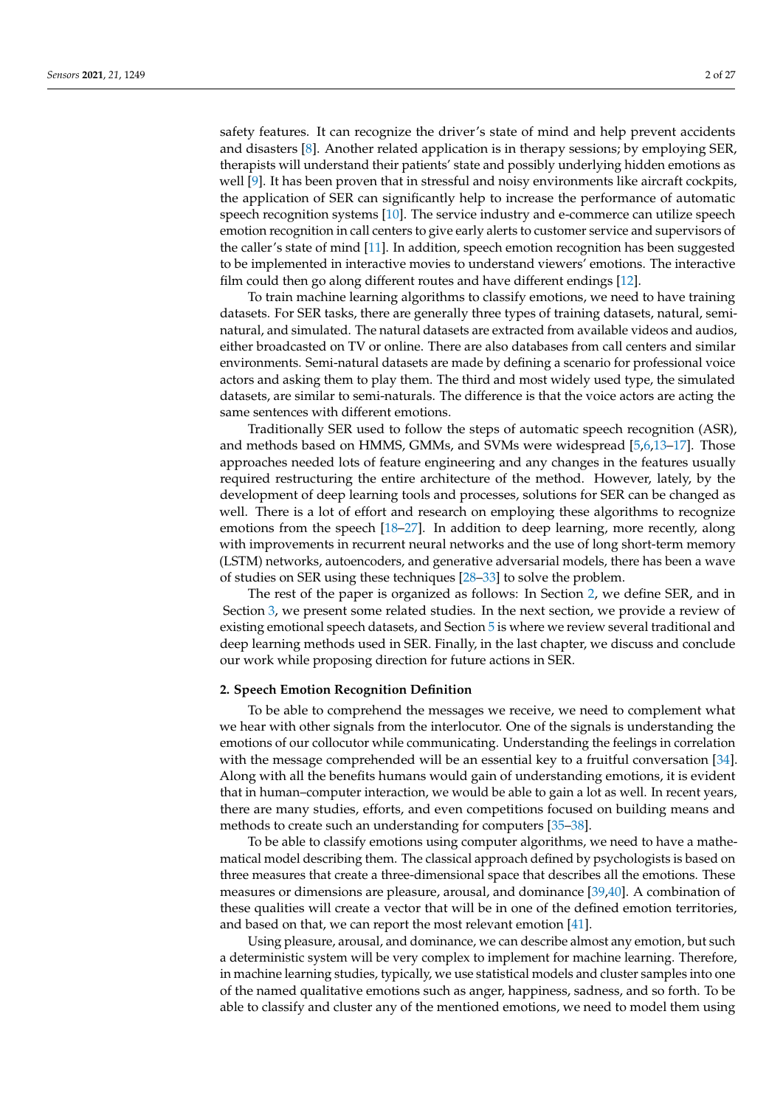safety features. It can recognize the driver's state of mind and help prevent accidents and disasters [\[8\]](#page-23-6). Another related application is in therapy sessions; by employing SER, therapists will understand their patients' state and possibly underlying hidden emotions as well [\[9\]](#page-23-7). It has been proven that in stressful and noisy environments like aircraft cockpits, the application of SER can significantly help to increase the performance of automatic speech recognition systems [\[10\]](#page-23-8). The service industry and e-commerce can utilize speech emotion recognition in call centers to give early alerts to customer service and supervisors of the caller's state of mind [\[11\]](#page-23-9). In addition, speech emotion recognition has been suggested to be implemented in interactive movies to understand viewers' emotions. The interactive film could then go along different routes and have different endings [\[12\]](#page-23-10).

To train machine learning algorithms to classify emotions, we need to have training datasets. For SER tasks, there are generally three types of training datasets, natural, seminatural, and simulated. The natural datasets are extracted from available videos and audios, either broadcasted on TV or online. There are also databases from call centers and similar environments. Semi-natural datasets are made by defining a scenario for professional voice actors and asking them to play them. The third and most widely used type, the simulated datasets, are similar to semi-naturals. The difference is that the voice actors are acting the same sentences with different emotions.

Traditionally SER used to follow the steps of automatic speech recognition (ASR), and methods based on HMMS, GMMs, and SVMs were widespread [\[5,](#page-23-11)[6,](#page-23-4)[13](#page-23-12)[–17\]](#page-23-13). Those approaches needed lots of feature engineering and any changes in the features usually required restructuring the entire architecture of the method. However, lately, by the development of deep learning tools and processes, solutions for SER can be changed as well. There is a lot of effort and research on employing these algorithms to recognize emotions from the speech [\[18–](#page-23-14)[27\]](#page-24-0). In addition to deep learning, more recently, along with improvements in recurrent neural networks and the use of long short-term memory (LSTM) networks, autoencoders, and generative adversarial models, there has been a wave of studies on SER using these techniques [\[28](#page-24-1)[–33\]](#page-24-2) to solve the problem.

The rest of the paper is organized as follows: In Section [2,](#page-1-0) we define SER, and in Section [3,](#page-2-0) we present some related studies. In the next section, we provide a review of existing emotional speech datasets, and Section [5](#page-7-0) is where we review several traditional and deep learning methods used in SER. Finally, in the last chapter, we discuss and conclude our work while proposing direction for future actions in SER.

## <span id="page-1-0"></span>**2. Speech Emotion Recognition Definition**

To be able to comprehend the messages we receive, we need to complement what we hear with other signals from the interlocutor. One of the signals is understanding the emotions of our collocutor while communicating. Understanding the feelings in correlation with the message comprehended will be an essential key to a fruitful conversation [\[34\]](#page-24-3). Along with all the benefits humans would gain of understanding emotions, it is evident that in human–computer interaction, we would be able to gain a lot as well. In recent years, there are many studies, efforts, and even competitions focused on building means and methods to create such an understanding for computers [\[35](#page-24-4)[–38\]](#page-24-5).

To be able to classify emotions using computer algorithms, we need to have a mathematical model describing them. The classical approach defined by psychologists is based on three measures that create a three-dimensional space that describes all the emotions. These measures or dimensions are pleasure, arousal, and dominance [\[39,](#page-24-6)[40\]](#page-24-7). A combination of these qualities will create a vector that will be in one of the defined emotion territories, and based on that, we can report the most relevant emotion [\[41\]](#page-24-8).

Using pleasure, arousal, and dominance, we can describe almost any emotion, but such a deterministic system will be very complex to implement for machine learning. Therefore, in machine learning studies, typically, we use statistical models and cluster samples into one of the named qualitative emotions such as anger, happiness, sadness, and so forth. To be able to classify and cluster any of the mentioned emotions, we need to model them using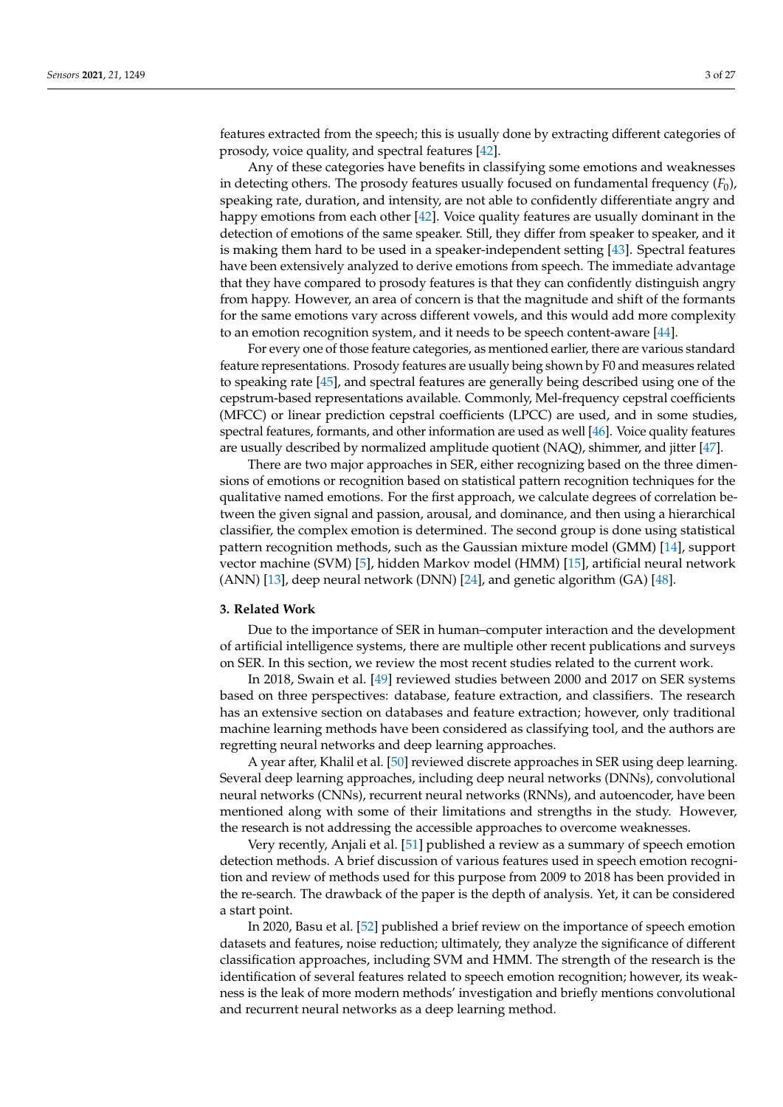features extracted from the speech; this is usually done by extracting different categories of prosody, voice quality, and spectral features [\[42\]](#page-24-9).

Any of these categories have benefits in classifying some emotions and weaknesses in detecting others. The prosody features usually focused on fundamental frequency (*F*0), speaking rate, duration, and intensity, are not able to confidently differentiate angry and happy emotions from each other [\[42\]](#page-24-9). Voice quality features are usually dominant in the detection of emotions of the same speaker. Still, they differ from speaker to speaker, and it is making them hard to be used in a speaker-independent setting [\[43\]](#page-24-10). Spectral features have been extensively analyzed to derive emotions from speech. The immediate advantage that they have compared to prosody features is that they can confidently distinguish angry from happy. However, an area of concern is that the magnitude and shift of the formants for the same emotions vary across different vowels, and this would add more complexity to an emotion recognition system, and it needs to be speech content-aware [\[44\]](#page-24-11).

For every one of those feature categories, as mentioned earlier, there are various standard feature representations. Prosody features are usually being shown by F0 and measures related to speaking rate [\[45\]](#page-24-12), and spectral features are generally being described using one of the cepstrum-based representations available. Commonly, Mel-frequency cepstral coefficients (MFCC) or linear prediction cepstral coefficients (LPCC) are used, and in some studies, spectral features, formants, and other information are used as well [\[46\]](#page-24-13). Voice quality features are usually described by normalized amplitude quotient (NAQ), shimmer, and jitter [\[47\]](#page-24-14).

There are two major approaches in SER, either recognizing based on the three dimensions of emotions or recognition based on statistical pattern recognition techniques for the qualitative named emotions. For the first approach, we calculate degrees of correlation between the given signal and passion, arousal, and dominance, and then using a hierarchical classifier, the complex emotion is determined. The second group is done using statistical pattern recognition methods, such as the Gaussian mixture model (GMM) [\[14\]](#page-23-15), support vector machine (SVM) [\[5\]](#page-23-11), hidden Markov model (HMM) [\[15\]](#page-23-16), artificial neural network (ANN) [\[13\]](#page-23-12), deep neural network (DNN) [\[24\]](#page-23-17), and genetic algorithm (GA) [\[48\]](#page-24-15).

## <span id="page-2-0"></span>**3. Related Work**

Due to the importance of SER in human–computer interaction and the development of artificial intelligence systems, there are multiple other recent publications and surveys on SER. In this section, we review the most recent studies related to the current work.

In 2018, Swain et al. [\[49\]](#page-24-16) reviewed studies between 2000 and 2017 on SER systems based on three perspectives: database, feature extraction, and classifiers. The research has an extensive section on databases and feature extraction; however, only traditional machine learning methods have been considered as classifying tool, and the authors are regretting neural networks and deep learning approaches.

A year after, Khalil et al. [\[50\]](#page-24-17) reviewed discrete approaches in SER using deep learning. Several deep learning approaches, including deep neural networks (DNNs), convolutional neural networks (CNNs), recurrent neural networks (RNNs), and autoencoder, have been mentioned along with some of their limitations and strengths in the study. However, the research is not addressing the accessible approaches to overcome weaknesses.

Very recently, Anjali et al. [\[51\]](#page-24-18) published a review as a summary of speech emotion detection methods. A brief discussion of various features used in speech emotion recognition and review of methods used for this purpose from 2009 to 2018 has been provided in the re-search. The drawback of the paper is the depth of analysis. Yet, it can be considered a start point.

In 2020, Basu et al. [\[52\]](#page-24-19) published a brief review on the importance of speech emotion datasets and features, noise reduction; ultimately, they analyze the significance of different classification approaches, including SVM and HMM. The strength of the research is the identification of several features related to speech emotion recognition; however, its weakness is the leak of more modern methods' investigation and briefly mentions convolutional and recurrent neural networks as a deep learning method.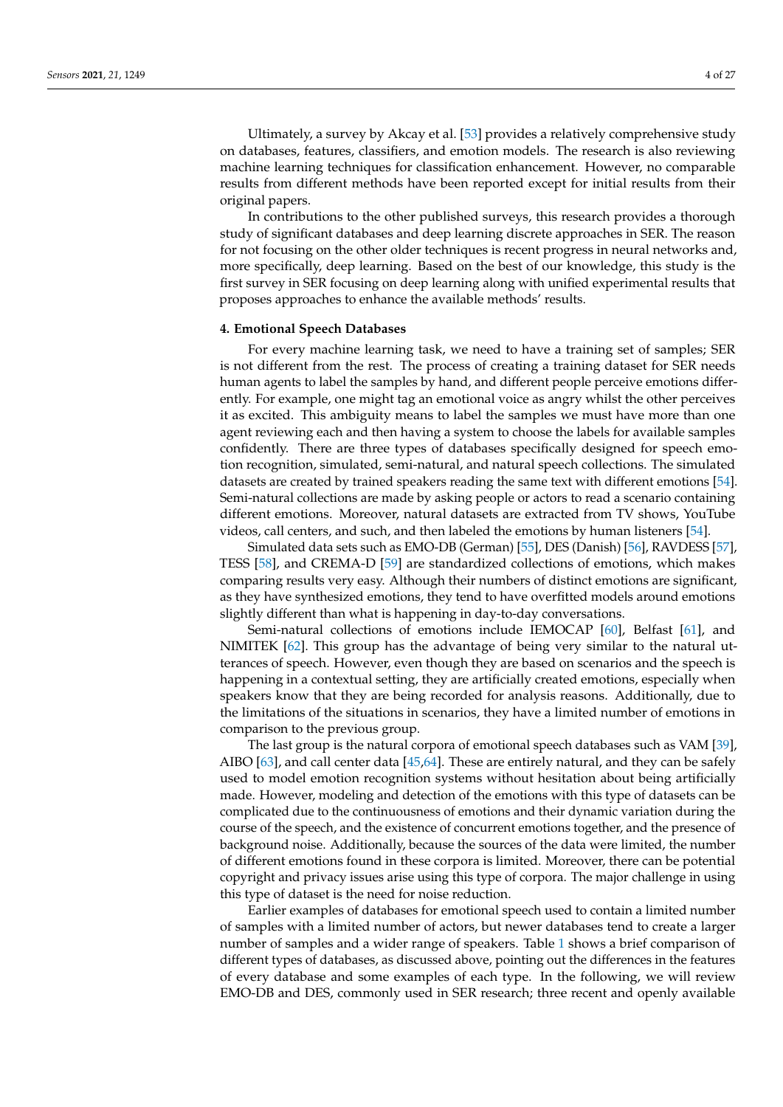Ultimately, a survey by Akcay et al. [\[53\]](#page-24-20) provides a relatively comprehensive study on databases, features, classifiers, and emotion models. The research is also reviewing machine learning techniques for classification enhancement. However, no comparable results from different methods have been reported except for initial results from their original papers.

In contributions to the other published surveys, this research provides a thorough study of significant databases and deep learning discrete approaches in SER. The reason for not focusing on the other older techniques is recent progress in neural networks and, more specifically, deep learning. Based on the best of our knowledge, this study is the first survey in SER focusing on deep learning along with unified experimental results that proposes approaches to enhance the available methods' results.

#### **4. Emotional Speech Databases**

For every machine learning task, we need to have a training set of samples; SER is not different from the rest. The process of creating a training dataset for SER needs human agents to label the samples by hand, and different people perceive emotions differently. For example, one might tag an emotional voice as angry whilst the other perceives it as excited. This ambiguity means to label the samples we must have more than one agent reviewing each and then having a system to choose the labels for available samples confidently. There are three types of databases specifically designed for speech emotion recognition, simulated, semi-natural, and natural speech collections. The simulated datasets are created by trained speakers reading the same text with different emotions [\[54\]](#page-25-0). Semi-natural collections are made by asking people or actors to read a scenario containing different emotions. Moreover, natural datasets are extracted from TV shows, YouTube videos, call centers, and such, and then labeled the emotions by human listeners [\[54\]](#page-25-0).

Simulated data sets such as EMO-DB (German) [\[55\]](#page-25-1), DES (Danish) [\[56\]](#page-25-2), RAVDESS [\[57\]](#page-25-3), TESS [\[58\]](#page-25-4), and CREMA-D [\[59\]](#page-25-5) are standardized collections of emotions, which makes comparing results very easy. Although their numbers of distinct emotions are significant, as they have synthesized emotions, they tend to have overfitted models around emotions slightly different than what is happening in day-to-day conversations.

Semi-natural collections of emotions include IEMOCAP [\[60\]](#page-25-6), Belfast [\[61\]](#page-25-7), and NIMITEK [\[62\]](#page-25-8). This group has the advantage of being very similar to the natural utterances of speech. However, even though they are based on scenarios and the speech is happening in a contextual setting, they are artificially created emotions, especially when speakers know that they are being recorded for analysis reasons. Additionally, due to the limitations of the situations in scenarios, they have a limited number of emotions in comparison to the previous group.

The last group is the natural corpora of emotional speech databases such as VAM [\[39\]](#page-24-6), AIBO [\[63\]](#page-25-9), and call center data [\[45](#page-24-12)[,64\]](#page-25-10). These are entirely natural, and they can be safely used to model emotion recognition systems without hesitation about being artificially made. However, modeling and detection of the emotions with this type of datasets can be complicated due to the continuousness of emotions and their dynamic variation during the course of the speech, and the existence of concurrent emotions together, and the presence of background noise. Additionally, because the sources of the data were limited, the number of different emotions found in these corpora is limited. Moreover, there can be potential copyright and privacy issues arise using this type of corpora. The major challenge in using this type of dataset is the need for noise reduction.

Earlier examples of databases for emotional speech used to contain a limited number of samples with a limited number of actors, but newer databases tend to create a larger number of samples and a wider range of speakers. Table [1](#page-4-0) shows a brief comparison of different types of databases, as discussed above, pointing out the differences in the features of every database and some examples of each type. In the following, we will review EMO-DB and DES, commonly used in SER research; three recent and openly available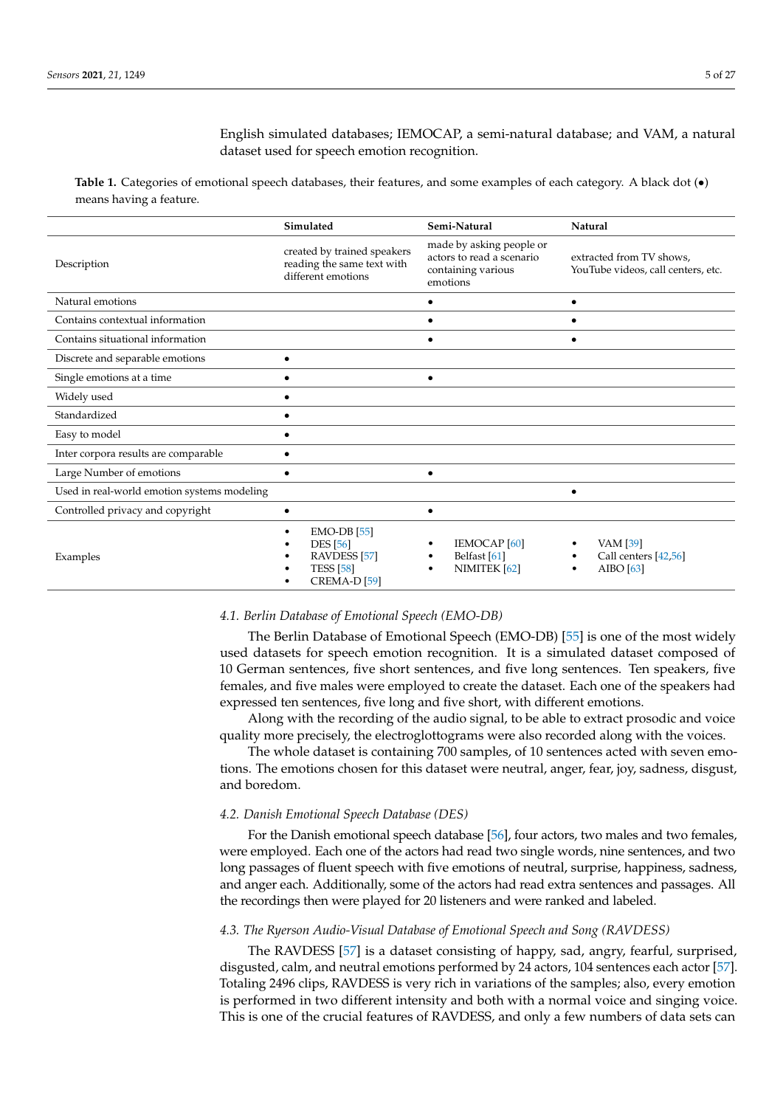English simulated databases; IEMOCAP, a semi-natural database; and VAM, a natural dataset used for speech emotion recognition.

<span id="page-4-0"></span>**Table 1.** Categories of emotional speech databases, their features, and some examples of each category. A black dot (•) means having a feature.

|                                             | Simulated                                                                                                  | Semi-Natural                                                                            | Natural                                                        |
|---------------------------------------------|------------------------------------------------------------------------------------------------------------|-----------------------------------------------------------------------------------------|----------------------------------------------------------------|
| Description                                 | created by trained speakers<br>reading the same text with<br>different emotions                            | made by asking people or<br>actors to read a scenario<br>containing various<br>emotions | extracted from TV shows,<br>YouTube videos, call centers, etc. |
| Natural emotions                            |                                                                                                            |                                                                                         |                                                                |
| Contains contextual information             |                                                                                                            |                                                                                         |                                                                |
| Contains situational information            |                                                                                                            | $\bullet$                                                                               |                                                                |
| Discrete and separable emotions             | $\bullet$                                                                                                  |                                                                                         |                                                                |
| Single emotions at a time                   | ٠                                                                                                          | $\bullet$                                                                               |                                                                |
| Widely used                                 |                                                                                                            |                                                                                         |                                                                |
| Standardized                                | $\bullet$                                                                                                  |                                                                                         |                                                                |
| Easy to model                               | $\bullet$                                                                                                  |                                                                                         |                                                                |
| Inter corpora results are comparable        |                                                                                                            |                                                                                         |                                                                |
| Large Number of emotions                    |                                                                                                            | ٠                                                                                       |                                                                |
| Used in real-world emotion systems modeling |                                                                                                            |                                                                                         |                                                                |
| Controlled privacy and copyright            | $\bullet$                                                                                                  | $\bullet$                                                                               |                                                                |
| Examples                                    | $EMO-DB$ [55]<br><b>DES</b> [56]<br>RAVDESS <sup>[57]</sup><br><b>TESS</b> [58]<br>CREMA-D <sub>[59]</sub> | <b>IEMOCAP</b> [60]<br>Belfast <sup>[61]</sup><br>NIMITEK [62]                          | VAM [39]<br>Call centers [42,56]<br>AIBO $[63]$                |

#### *4.1. Berlin Database of Emotional Speech (EMO-DB)*

The Berlin Database of Emotional Speech (EMO-DB) [\[55\]](#page-25-1) is one of the most widely used datasets for speech emotion recognition. It is a simulated dataset composed of 10 German sentences, five short sentences, and five long sentences. Ten speakers, five females, and five males were employed to create the dataset. Each one of the speakers had expressed ten sentences, five long and five short, with different emotions.

Along with the recording of the audio signal, to be able to extract prosodic and voice quality more precisely, the electroglottograms were also recorded along with the voices.

The whole dataset is containing 700 samples, of 10 sentences acted with seven emotions. The emotions chosen for this dataset were neutral, anger, fear, joy, sadness, disgust, and boredom.

## *4.2. Danish Emotional Speech Database (DES)*

For the Danish emotional speech database [\[56\]](#page-25-2), four actors, two males and two females, were employed. Each one of the actors had read two single words, nine sentences, and two long passages of fluent speech with five emotions of neutral, surprise, happiness, sadness, and anger each. Additionally, some of the actors had read extra sentences and passages. All the recordings then were played for 20 listeners and were ranked and labeled.

## *4.3. The Ryerson Audio-Visual Database of Emotional Speech and Song (RAVDESS)*

The RAVDESS [\[57\]](#page-25-3) is a dataset consisting of happy, sad, angry, fearful, surprised, disgusted, calm, and neutral emotions performed by 24 actors, 104 sentences each actor [\[57\]](#page-25-3). Totaling 2496 clips, RAVDESS is very rich in variations of the samples; also, every emotion is performed in two different intensity and both with a normal voice and singing voice. This is one of the crucial features of RAVDESS, and only a few numbers of data sets can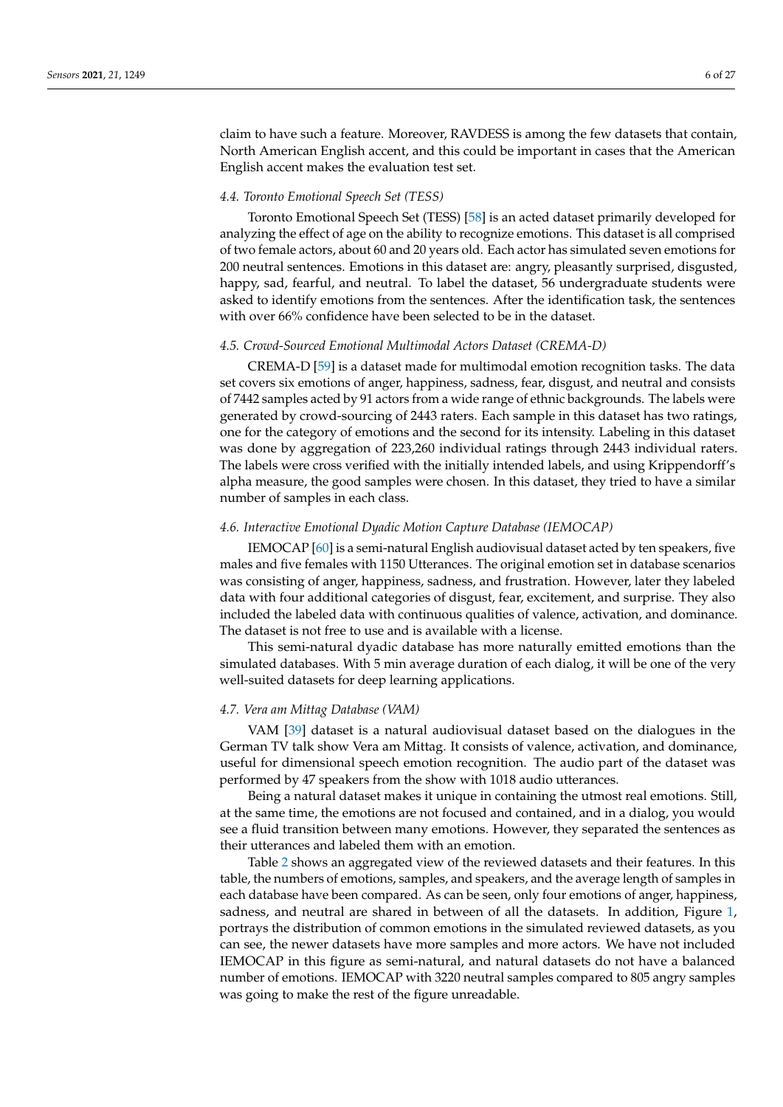claim to have such a feature. Moreover, RAVDESS is among the few datasets that contain, North American English accent, and this could be important in cases that the American English accent makes the evaluation test set.

## *4.4. Toronto Emotional Speech Set (TESS)*

Toronto Emotional Speech Set (TESS) [\[58\]](#page-25-4) is an acted dataset primarily developed for analyzing the effect of age on the ability to recognize emotions. This dataset is all comprised of two female actors, about 60 and 20 years old. Each actor has simulated seven emotions for 200 neutral sentences. Emotions in this dataset are: angry, pleasantly surprised, disgusted, happy, sad, fearful, and neutral. To label the dataset, 56 undergraduate students were asked to identify emotions from the sentences. After the identification task, the sentences with over 66% confidence have been selected to be in the dataset.

## *4.5. Crowd-Sourced Emotional Multimodal Actors Dataset (CREMA-D)*

CREMA-D [\[59\]](#page-25-5) is a dataset made for multimodal emotion recognition tasks. The data set covers six emotions of anger, happiness, sadness, fear, disgust, and neutral and consists of 7442 samples acted by 91 actors from a wide range of ethnic backgrounds. The labels were generated by crowd-sourcing of 2443 raters. Each sample in this dataset has two ratings, one for the category of emotions and the second for its intensity. Labeling in this dataset was done by aggregation of 223,260 individual ratings through 2443 individual raters. The labels were cross verified with the initially intended labels, and using Krippendorff's alpha measure, the good samples were chosen. In this dataset, they tried to have a similar number of samples in each class.

## *4.6. Interactive Emotional Dyadic Motion Capture Database (IEMOCAP)*

IEMOCAP [\[60\]](#page-25-6) is a semi-natural English audiovisual dataset acted by ten speakers, five males and five females with 1150 Utterances. The original emotion set in database scenarios was consisting of anger, happiness, sadness, and frustration. However, later they labeled data with four additional categories of disgust, fear, excitement, and surprise. They also included the labeled data with continuous qualities of valence, activation, and dominance. The dataset is not free to use and is available with a license.

This semi-natural dyadic database has more naturally emitted emotions than the simulated databases. With 5 min average duration of each dialog, it will be one of the very well-suited datasets for deep learning applications.

## *4.7. Vera am Mittag Database (VAM)*

VAM [\[39\]](#page-24-6) dataset is a natural audiovisual dataset based on the dialogues in the German TV talk show Vera am Mittag. It consists of valence, activation, and dominance, useful for dimensional speech emotion recognition. The audio part of the dataset was performed by 47 speakers from the show with 1018 audio utterances.

Being a natural dataset makes it unique in containing the utmost real emotions. Still, at the same time, the emotions are not focused and contained, and in a dialog, you would see a fluid transition between many emotions. However, they separated the sentences as their utterances and labeled them with an emotion.

Table [2](#page-6-0) shows an aggregated view of the reviewed datasets and their features. In this table, the numbers of emotions, samples, and speakers, and the average length of samples in each database have been compared. As can be seen, only four emotions of anger, happiness, sadness, and neutral are shared in between of all the datasets. In addition, Figure [1,](#page-7-1) portrays the distribution of common emotions in the simulated reviewed datasets, as you can see, the newer datasets have more samples and more actors. We have not included IEMOCAP in this figure as semi-natural, and natural datasets do not have a balanced number of emotions. IEMOCAP with 3220 neutral samples compared to 805 angry samples was going to make the rest of the figure unreadable.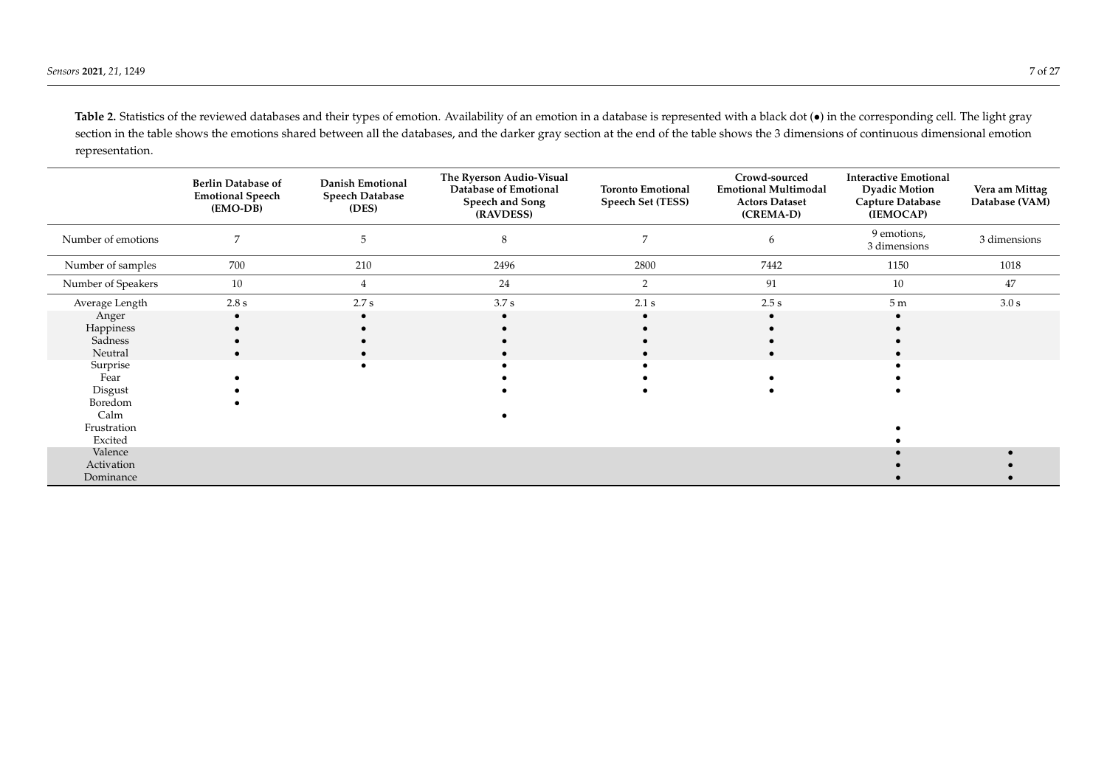Table 2. Statistics of the reviewed databases and their types of emotion. Availability of an emotion in a database is represented with a black dot ( $\bullet$ ) in the corresponding cell. The light gray section in the table shows the emotions shared between all the databases, and the darker gray section at the end of the table shows the 3 dimensions of continuous dimensional emotion representation.

<span id="page-6-0"></span>

|                    | <b>Berlin Database of</b><br><b>Emotional Speech</b><br>(EMO-DB) | Danish Emotional<br><b>Speech Database</b><br>(DES) | The Ryerson Audio-Visual<br>Database of Emotional<br>Speech and Song<br>(RAVDESS) | <b>Toronto Emotional</b><br>Speech Set (TESS) | Crowd-sourced<br><b>Emotional Multimodal</b><br><b>Actors Dataset</b><br>(CREMA-D) | <b>Interactive Emotional</b><br><b>Dyadic Motion</b><br><b>Capture Database</b><br>(IEMOCAP) | Vera am Mittag<br>Database (VAM) |
|--------------------|------------------------------------------------------------------|-----------------------------------------------------|-----------------------------------------------------------------------------------|-----------------------------------------------|------------------------------------------------------------------------------------|----------------------------------------------------------------------------------------------|----------------------------------|
| Number of emotions |                                                                  | 5                                                   | 8                                                                                 |                                               | 6                                                                                  | 9 emotions,<br>3 dimensions                                                                  | 3 dimensions                     |
| Number of samples  | 700                                                              | 210                                                 | 2496                                                                              | 2800                                          | 7442                                                                               | 1150                                                                                         | 1018                             |
| Number of Speakers | 10                                                               | $4^{\circ}$                                         | 24                                                                                | 2                                             | 91                                                                                 | 10                                                                                           | 47                               |
| Average Length     | $2.8\ {\rm s}$                                                   | 2.7 s                                               | 3.7 s                                                                             | 2.1 s                                         | 2.5 s                                                                              | 5 <sub>m</sub>                                                                               | 3.0 s                            |
| Anger              |                                                                  |                                                     |                                                                                   |                                               |                                                                                    |                                                                                              |                                  |
| Happiness          |                                                                  |                                                     |                                                                                   |                                               |                                                                                    |                                                                                              |                                  |
| Sadness            |                                                                  |                                                     |                                                                                   |                                               |                                                                                    |                                                                                              |                                  |
| Neutral            |                                                                  |                                                     |                                                                                   |                                               |                                                                                    |                                                                                              |                                  |
| Surprise           |                                                                  |                                                     |                                                                                   |                                               |                                                                                    |                                                                                              |                                  |
| Fear               |                                                                  |                                                     |                                                                                   |                                               |                                                                                    |                                                                                              |                                  |
| Disgust            |                                                                  |                                                     |                                                                                   |                                               |                                                                                    |                                                                                              |                                  |
| Boredom            |                                                                  |                                                     |                                                                                   |                                               |                                                                                    |                                                                                              |                                  |
| Calm               |                                                                  |                                                     |                                                                                   |                                               |                                                                                    |                                                                                              |                                  |
| Frustration        |                                                                  |                                                     |                                                                                   |                                               |                                                                                    |                                                                                              |                                  |
| Excited            |                                                                  |                                                     |                                                                                   |                                               |                                                                                    |                                                                                              |                                  |
| Valence            |                                                                  |                                                     |                                                                                   |                                               |                                                                                    |                                                                                              |                                  |
| Activation         |                                                                  |                                                     |                                                                                   |                                               |                                                                                    |                                                                                              |                                  |
| Dominance          |                                                                  |                                                     |                                                                                   |                                               |                                                                                    |                                                                                              |                                  |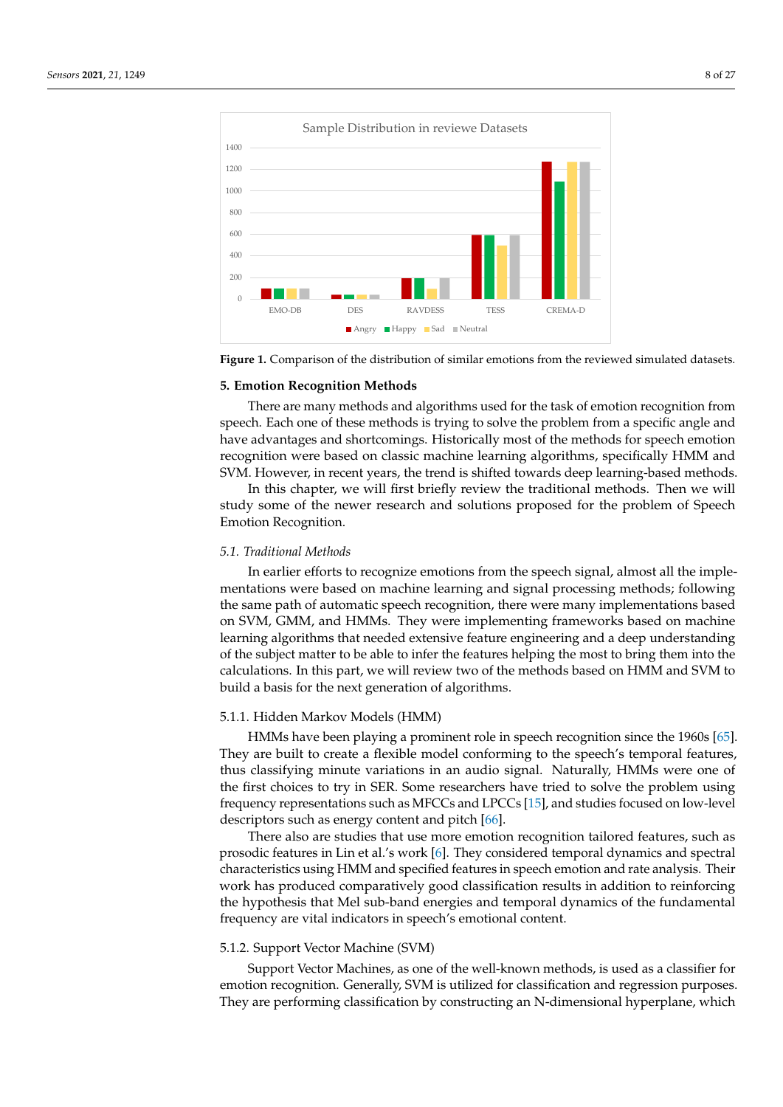<span id="page-7-1"></span>

**Figure 1.** Comparison of the distribution of similar emotions from the reviewed simulated datasets.

#### <span id="page-7-0"></span>**5. Emotion Recognition Methods**

There are many methods and algorithms used for the task of emotion recognition from speech. Each one of these methods is trying to solve the problem from a specific angle and have advantages and shortcomings. Historically most of the methods for speech emotion recognition were based on classic machine learning algorithms, specifically HMM and SVM. However, in recent years, the trend is shifted towards deep learning-based methods.

In this chapter, we will first briefly review the traditional methods. Then we will study some of the newer research and solutions proposed for the problem of Speech Emotion Recognition.

## *5.1. Traditional Methods*

In earlier efforts to recognize emotions from the speech signal, almost all the implementations were based on machine learning and signal processing methods; following the same path of automatic speech recognition, there were many implementations based on SVM, GMM, and HMMs. They were implementing frameworks based on machine learning algorithms that needed extensive feature engineering and a deep understanding of the subject matter to be able to infer the features helping the most to bring them into the calculations. In this part, we will review two of the methods based on HMM and SVM to build a basis for the next generation of algorithms.

#### 5.1.1. Hidden Markov Models (HMM)

HMMs have been playing a prominent role in speech recognition since the 1960s [\[65\]](#page-25-11). They are built to create a flexible model conforming to the speech's temporal features, thus classifying minute variations in an audio signal. Naturally, HMMs were one of the first choices to try in SER. Some researchers have tried to solve the problem using frequency representations such as MFCCs and LPCCs [\[15\]](#page-23-16), and studies focused on low-level descriptors such as energy content and pitch [\[66\]](#page-25-12).

There also are studies that use more emotion recognition tailored features, such as prosodic features in Lin et al.'s work [\[6\]](#page-23-4). They considered temporal dynamics and spectral characteristics using HMM and specified features in speech emotion and rate analysis. Their work has produced comparatively good classification results in addition to reinforcing the hypothesis that Mel sub-band energies and temporal dynamics of the fundamental frequency are vital indicators in speech's emotional content.

## 5.1.2. Support Vector Machine (SVM)

Support Vector Machines, as one of the well-known methods, is used as a classifier for emotion recognition. Generally, SVM is utilized for classification and regression purposes. They are performing classification by constructing an N-dimensional hyperplane, which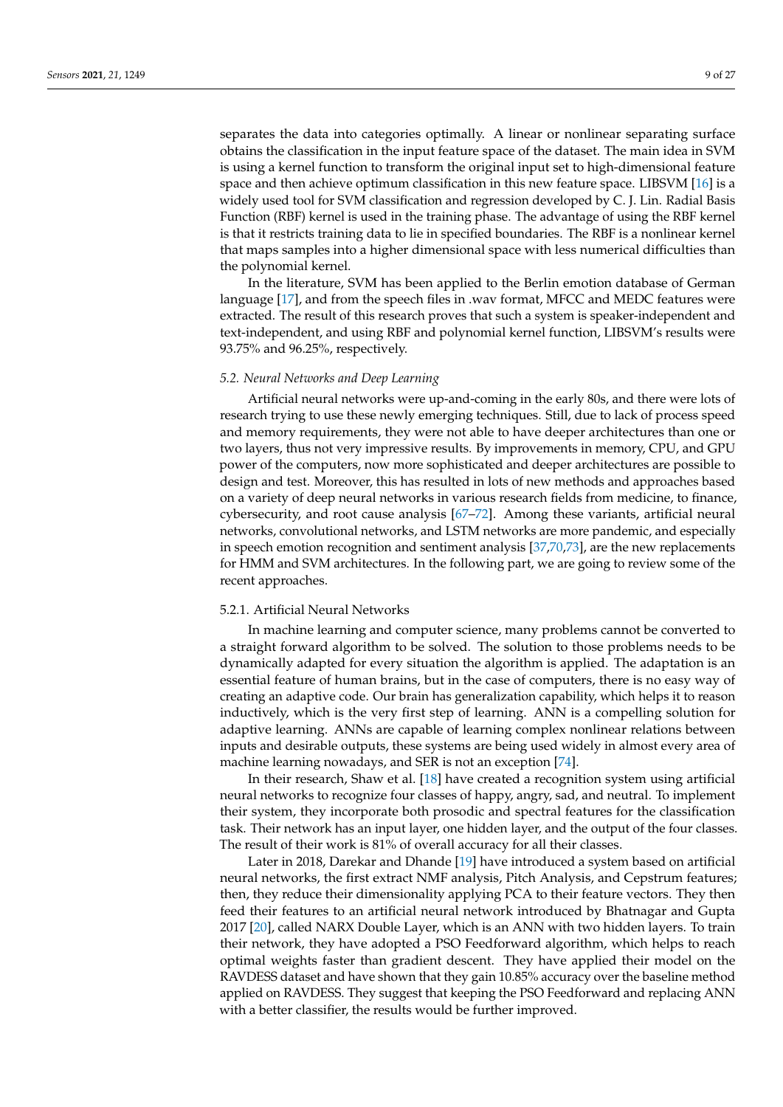separates the data into categories optimally. A linear or nonlinear separating surface obtains the classification in the input feature space of the dataset. The main idea in SVM is using a kernel function to transform the original input set to high-dimensional feature space and then achieve optimum classification in this new feature space. LIBSVM [\[16\]](#page-23-18) is a widely used tool for SVM classification and regression developed by C. J. Lin. Radial Basis Function (RBF) kernel is used in the training phase. The advantage of using the RBF kernel is that it restricts training data to lie in specified boundaries. The RBF is a nonlinear kernel that maps samples into a higher dimensional space with less numerical difficulties than the polynomial kernel.

In the literature, SVM has been applied to the Berlin emotion database of German language [\[17\]](#page-23-13), and from the speech files in .wav format, MFCC and MEDC features were extracted. The result of this research proves that such a system is speaker-independent and text-independent, and using RBF and polynomial kernel function, LIBSVM's results were 93.75% and 96.25%, respectively.

#### *5.2. Neural Networks and Deep Learning*

Artificial neural networks were up-and-coming in the early 80s, and there were lots of research trying to use these newly emerging techniques. Still, due to lack of process speed and memory requirements, they were not able to have deeper architectures than one or two layers, thus not very impressive results. By improvements in memory, CPU, and GPU power of the computers, now more sophisticated and deeper architectures are possible to design and test. Moreover, this has resulted in lots of new methods and approaches based on a variety of deep neural networks in various research fields from medicine, to finance, cybersecurity, and root cause analysis [\[67](#page-25-13)[–72\]](#page-25-14). Among these variants, artificial neural networks, convolutional networks, and LSTM networks are more pandemic, and especially in speech emotion recognition and sentiment analysis [\[37,](#page-24-21)[70,](#page-25-15)[73\]](#page-25-16), are the new replacements for HMM and SVM architectures. In the following part, we are going to review some of the recent approaches.

## 5.2.1. Artificial Neural Networks

In machine learning and computer science, many problems cannot be converted to a straight forward algorithm to be solved. The solution to those problems needs to be dynamically adapted for every situation the algorithm is applied. The adaptation is an essential feature of human brains, but in the case of computers, there is no easy way of creating an adaptive code. Our brain has generalization capability, which helps it to reason inductively, which is the very first step of learning. ANN is a compelling solution for adaptive learning. ANNs are capable of learning complex nonlinear relations between inputs and desirable outputs, these systems are being used widely in almost every area of machine learning nowadays, and SER is not an exception [\[74\]](#page-25-17).

In their research, Shaw et al. [\[18\]](#page-23-14) have created a recognition system using artificial neural networks to recognize four classes of happy, angry, sad, and neutral. To implement their system, they incorporate both prosodic and spectral features for the classification task. Their network has an input layer, one hidden layer, and the output of the four classes. The result of their work is 81% of overall accuracy for all their classes.

Later in 2018, Darekar and Dhande [\[19\]](#page-23-19) have introduced a system based on artificial neural networks, the first extract NMF analysis, Pitch Analysis, and Cepstrum features; then, they reduce their dimensionality applying PCA to their feature vectors. They then feed their features to an artificial neural network introduced by Bhatnagar and Gupta 2017 [\[20\]](#page-23-20), called NARX Double Layer, which is an ANN with two hidden layers. To train their network, they have adopted a PSO Feedforward algorithm, which helps to reach optimal weights faster than gradient descent. They have applied their model on the RAVDESS dataset and have shown that they gain 10.85% accuracy over the baseline method applied on RAVDESS. They suggest that keeping the PSO Feedforward and replacing ANN with a better classifier, the results would be further improved.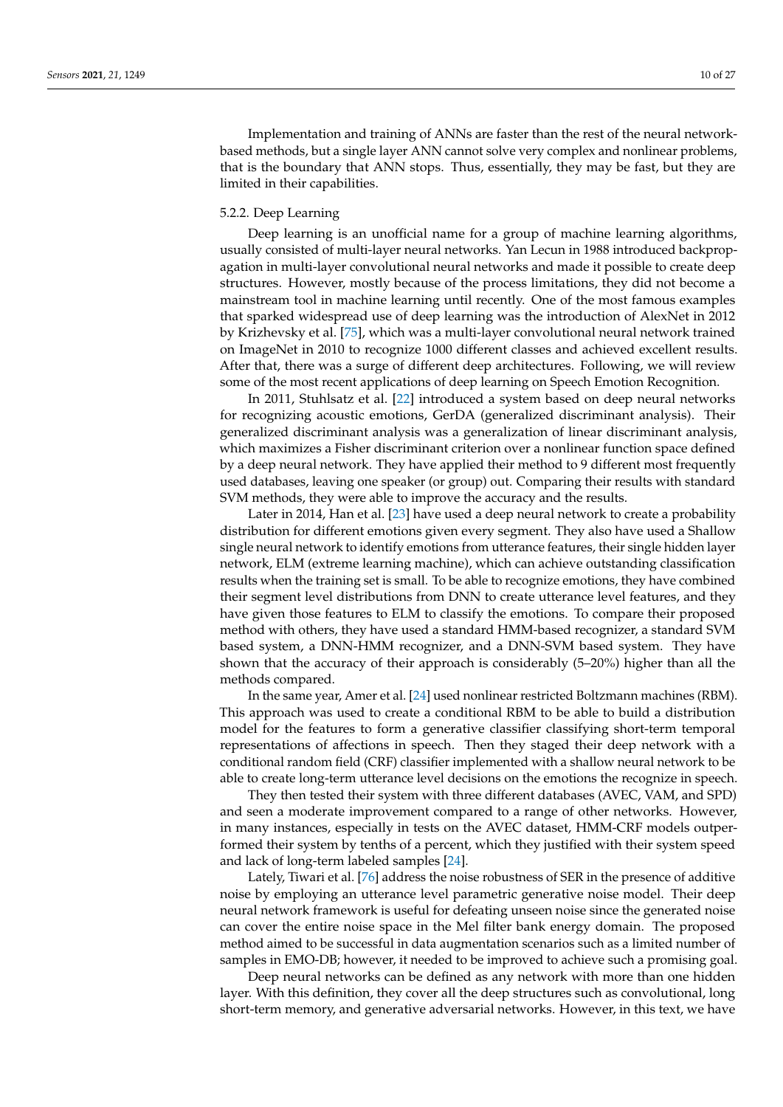Implementation and training of ANNs are faster than the rest of the neural networkbased methods, but a single layer ANN cannot solve very complex and nonlinear problems, that is the boundary that ANN stops. Thus, essentially, they may be fast, but they are limited in their capabilities.

#### 5.2.2. Deep Learning

Deep learning is an unofficial name for a group of machine learning algorithms, usually consisted of multi-layer neural networks. Yan Lecun in 1988 introduced backpropagation in multi-layer convolutional neural networks and made it possible to create deep structures. However, mostly because of the process limitations, they did not become a mainstream tool in machine learning until recently. One of the most famous examples that sparked widespread use of deep learning was the introduction of AlexNet in 2012 by Krizhevsky et al. [\[75\]](#page-25-18), which was a multi-layer convolutional neural network trained on ImageNet in 2010 to recognize 1000 different classes and achieved excellent results. After that, there was a surge of different deep architectures. Following, we will review some of the most recent applications of deep learning on Speech Emotion Recognition.

In 2011, Stuhlsatz et al. [\[22\]](#page-23-21) introduced a system based on deep neural networks for recognizing acoustic emotions, GerDA (generalized discriminant analysis). Their generalized discriminant analysis was a generalization of linear discriminant analysis, which maximizes a Fisher discriminant criterion over a nonlinear function space defined by a deep neural network. They have applied their method to 9 different most frequently used databases, leaving one speaker (or group) out. Comparing their results with standard SVM methods, they were able to improve the accuracy and the results.

Later in 2014, Han et al. [\[23\]](#page-23-22) have used a deep neural network to create a probability distribution for different emotions given every segment. They also have used a Shallow single neural network to identify emotions from utterance features, their single hidden layer network, ELM (extreme learning machine), which can achieve outstanding classification results when the training set is small. To be able to recognize emotions, they have combined their segment level distributions from DNN to create utterance level features, and they have given those features to ELM to classify the emotions. To compare their proposed method with others, they have used a standard HMM-based recognizer, a standard SVM based system, a DNN-HMM recognizer, and a DNN-SVM based system. They have shown that the accuracy of their approach is considerably (5–20%) higher than all the methods compared.

In the same year, Amer et al. [\[24\]](#page-23-17) used nonlinear restricted Boltzmann machines (RBM). This approach was used to create a conditional RBM to be able to build a distribution model for the features to form a generative classifier classifying short-term temporal representations of affections in speech. Then they staged their deep network with a conditional random field (CRF) classifier implemented with a shallow neural network to be able to create long-term utterance level decisions on the emotions the recognize in speech.

They then tested their system with three different databases (AVEC, VAM, and SPD) and seen a moderate improvement compared to a range of other networks. However, in many instances, especially in tests on the AVEC dataset, HMM-CRF models outperformed their system by tenths of a percent, which they justified with their system speed and lack of long-term labeled samples [\[24\]](#page-23-17).

Lately, Tiwari et al. [\[76\]](#page-25-19) address the noise robustness of SER in the presence of additive noise by employing an utterance level parametric generative noise model. Their deep neural network framework is useful for defeating unseen noise since the generated noise can cover the entire noise space in the Mel filter bank energy domain. The proposed method aimed to be successful in data augmentation scenarios such as a limited number of samples in EMO-DB; however, it needed to be improved to achieve such a promising goal.

Deep neural networks can be defined as any network with more than one hidden layer. With this definition, they cover all the deep structures such as convolutional, long short-term memory, and generative adversarial networks. However, in this text, we have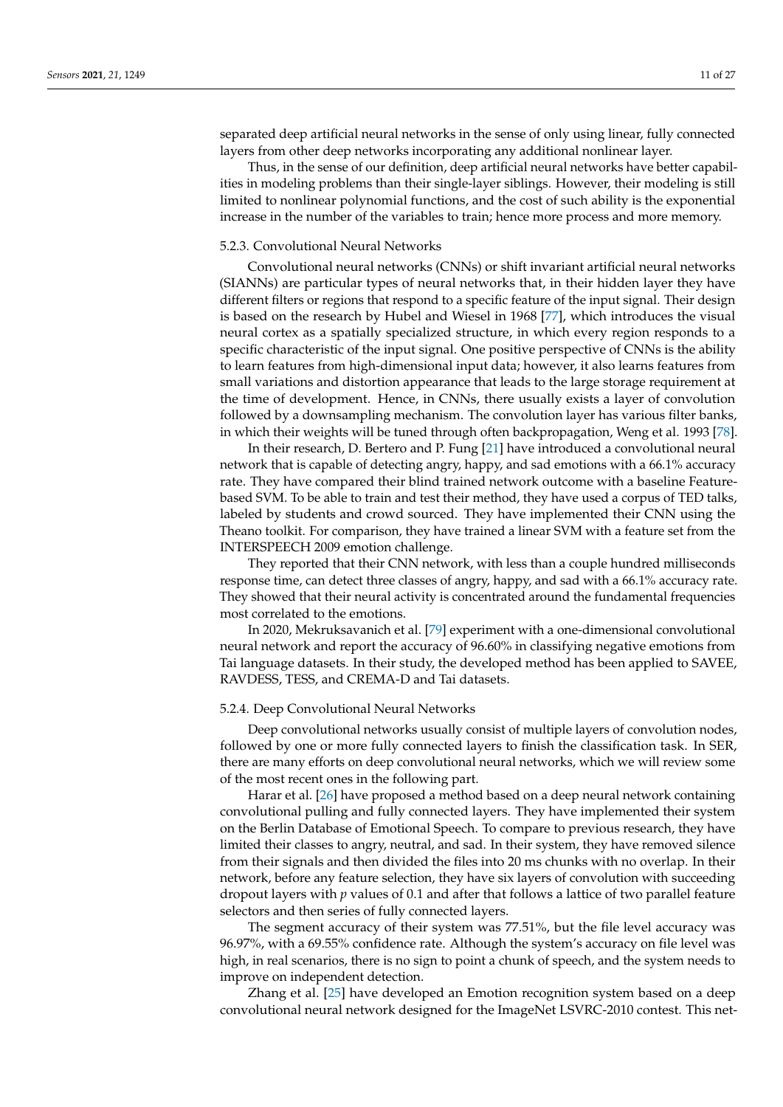separated deep artificial neural networks in the sense of only using linear, fully connected layers from other deep networks incorporating any additional nonlinear layer.

Thus, in the sense of our definition, deep artificial neural networks have better capabilities in modeling problems than their single-layer siblings. However, their modeling is still limited to nonlinear polynomial functions, and the cost of such ability is the exponential increase in the number of the variables to train; hence more process and more memory.

#### 5.2.3. Convolutional Neural Networks

Convolutional neural networks (CNNs) or shift invariant artificial neural networks (SIANNs) are particular types of neural networks that, in their hidden layer they have different filters or regions that respond to a specific feature of the input signal. Their design is based on the research by Hubel and Wiesel in 1968 [\[77\]](#page-25-20), which introduces the visual neural cortex as a spatially specialized structure, in which every region responds to a specific characteristic of the input signal. One positive perspective of CNNs is the ability to learn features from high-dimensional input data; however, it also learns features from small variations and distortion appearance that leads to the large storage requirement at the time of development. Hence, in CNNs, there usually exists a layer of convolution followed by a downsampling mechanism. The convolution layer has various filter banks, in which their weights will be tuned through often backpropagation, Weng et al. 1993 [\[78\]](#page-25-21).

In their research, D. Bertero and P. Fung [\[21\]](#page-23-23) have introduced a convolutional neural network that is capable of detecting angry, happy, and sad emotions with a 66.1% accuracy rate. They have compared their blind trained network outcome with a baseline Featurebased SVM. To be able to train and test their method, they have used a corpus of TED talks, labeled by students and crowd sourced. They have implemented their CNN using the Theano toolkit. For comparison, they have trained a linear SVM with a feature set from the INTERSPEECH 2009 emotion challenge.

They reported that their CNN network, with less than a couple hundred milliseconds response time, can detect three classes of angry, happy, and sad with a 66.1% accuracy rate. They showed that their neural activity is concentrated around the fundamental frequencies most correlated to the emotions.

In 2020, Mekruksavanich et al. [\[79\]](#page-25-22) experiment with a one-dimensional convolutional neural network and report the accuracy of 96.60% in classifying negative emotions from Tai language datasets. In their study, the developed method has been applied to SAVEE, RAVDESS, TESS, and CREMA-D and Tai datasets.

## 5.2.4. Deep Convolutional Neural Networks

Deep convolutional networks usually consist of multiple layers of convolution nodes, followed by one or more fully connected layers to finish the classification task. In SER, there are many efforts on deep convolutional neural networks, which we will review some of the most recent ones in the following part.

Harar et al. [\[26\]](#page-24-22) have proposed a method based on a deep neural network containing convolutional pulling and fully connected layers. They have implemented their system on the Berlin Database of Emotional Speech. To compare to previous research, they have limited their classes to angry, neutral, and sad. In their system, they have removed silence from their signals and then divided the files into 20 ms chunks with no overlap. In their network, before any feature selection, they have six layers of convolution with succeeding dropout layers with *p* values of 0.1 and after that follows a lattice of two parallel feature selectors and then series of fully connected layers.

The segment accuracy of their system was 77.51%, but the file level accuracy was 96.97%, with a 69.55% confidence rate. Although the system's accuracy on file level was high, in real scenarios, there is no sign to point a chunk of speech, and the system needs to improve on independent detection.

Zhang et al. [\[25\]](#page-23-24) have developed an Emotion recognition system based on a deep convolutional neural network designed for the ImageNet LSVRC-2010 contest. This net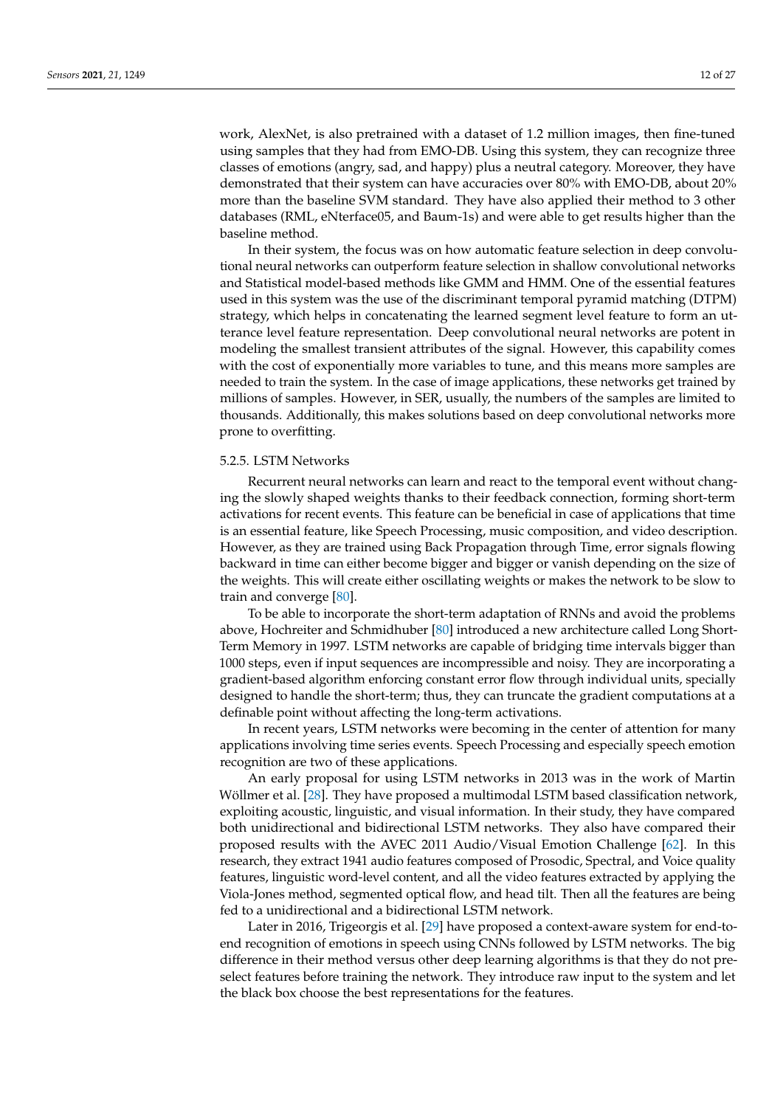work, AlexNet, is also pretrained with a dataset of 1.2 million images, then fine-tuned using samples that they had from EMO-DB. Using this system, they can recognize three classes of emotions (angry, sad, and happy) plus a neutral category. Moreover, they have demonstrated that their system can have accuracies over 80% with EMO-DB, about 20% more than the baseline SVM standard. They have also applied their method to 3 other databases (RML, eNterface05, and Baum-1s) and were able to get results higher than the baseline method.

In their system, the focus was on how automatic feature selection in deep convolutional neural networks can outperform feature selection in shallow convolutional networks and Statistical model-based methods like GMM and HMM. One of the essential features used in this system was the use of the discriminant temporal pyramid matching (DTPM) strategy, which helps in concatenating the learned segment level feature to form an utterance level feature representation. Deep convolutional neural networks are potent in modeling the smallest transient attributes of the signal. However, this capability comes with the cost of exponentially more variables to tune, and this means more samples are needed to train the system. In the case of image applications, these networks get trained by millions of samples. However, in SER, usually, the numbers of the samples are limited to thousands. Additionally, this makes solutions based on deep convolutional networks more prone to overfitting.

## 5.2.5. LSTM Networks

Recurrent neural networks can learn and react to the temporal event without changing the slowly shaped weights thanks to their feedback connection, forming short-term activations for recent events. This feature can be beneficial in case of applications that time is an essential feature, like Speech Processing, music composition, and video description. However, as they are trained using Back Propagation through Time, error signals flowing backward in time can either become bigger and bigger or vanish depending on the size of the weights. This will create either oscillating weights or makes the network to be slow to train and converge [\[80\]](#page-25-23).

To be able to incorporate the short-term adaptation of RNNs and avoid the problems above, Hochreiter and Schmidhuber [\[80\]](#page-25-23) introduced a new architecture called Long Short-Term Memory in 1997. LSTM networks are capable of bridging time intervals bigger than 1000 steps, even if input sequences are incompressible and noisy. They are incorporating a gradient-based algorithm enforcing constant error flow through individual units, specially designed to handle the short-term; thus, they can truncate the gradient computations at a definable point without affecting the long-term activations.

In recent years, LSTM networks were becoming in the center of attention for many applications involving time series events. Speech Processing and especially speech emotion recognition are two of these applications.

An early proposal for using LSTM networks in 2013 was in the work of Martin Wöllmer et al. [\[28\]](#page-24-1). They have proposed a multimodal LSTM based classification network, exploiting acoustic, linguistic, and visual information. In their study, they have compared both unidirectional and bidirectional LSTM networks. They also have compared their proposed results with the AVEC 2011 Audio/Visual Emotion Challenge [\[62\]](#page-25-8). In this research, they extract 1941 audio features composed of Prosodic, Spectral, and Voice quality features, linguistic word-level content, and all the video features extracted by applying the Viola-Jones method, segmented optical flow, and head tilt. Then all the features are being fed to a unidirectional and a bidirectional LSTM network.

Later in 2016, Trigeorgis et al. [\[29\]](#page-24-23) have proposed a context-aware system for end-toend recognition of emotions in speech using CNNs followed by LSTM networks. The big difference in their method versus other deep learning algorithms is that they do not preselect features before training the network. They introduce raw input to the system and let the black box choose the best representations for the features.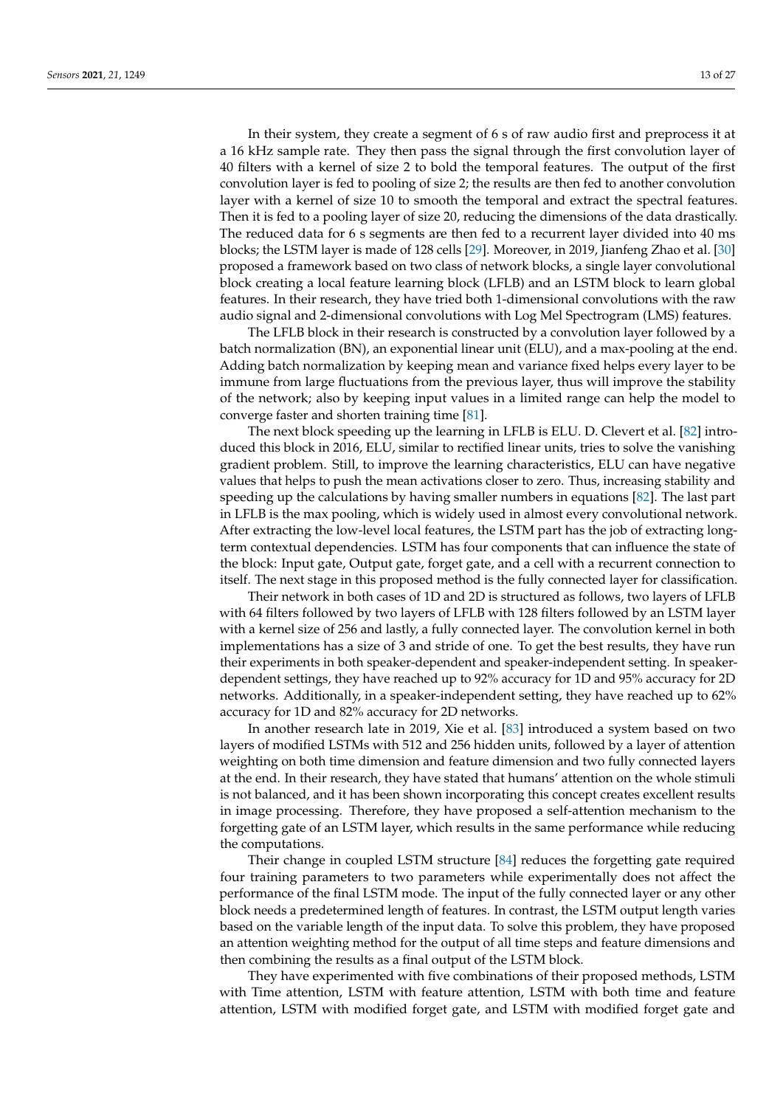In their system, they create a segment of 6 s of raw audio first and preprocess it at a 16 kHz sample rate. They then pass the signal through the first convolution layer of 40 filters with a kernel of size 2 to bold the temporal features. The output of the first convolution layer is fed to pooling of size 2; the results are then fed to another convolution layer with a kernel of size 10 to smooth the temporal and extract the spectral features. Then it is fed to a pooling layer of size 20, reducing the dimensions of the data drastically. The reduced data for 6 s segments are then fed to a recurrent layer divided into 40 ms blocks; the LSTM layer is made of 128 cells [\[29\]](#page-24-23). Moreover, in 2019, Jianfeng Zhao et al. [\[30\]](#page-24-24) proposed a framework based on two class of network blocks, a single layer convolutional block creating a local feature learning block (LFLB) and an LSTM block to learn global features. In their research, they have tried both 1-dimensional convolutions with the raw audio signal and 2-dimensional convolutions with Log Mel Spectrogram (LMS) features.

The LFLB block in their research is constructed by a convolution layer followed by a batch normalization (BN), an exponential linear unit (ELU), and a max-pooling at the end. Adding batch normalization by keeping mean and variance fixed helps every layer to be immune from large fluctuations from the previous layer, thus will improve the stability of the network; also by keeping input values in a limited range can help the model to converge faster and shorten training time [\[81\]](#page-26-0).

The next block speeding up the learning in LFLB is ELU. D. Clevert et al. [\[82\]](#page-26-1) introduced this block in 2016, ELU, similar to rectified linear units, tries to solve the vanishing gradient problem. Still, to improve the learning characteristics, ELU can have negative values that helps to push the mean activations closer to zero. Thus, increasing stability and speeding up the calculations by having smaller numbers in equations [\[82\]](#page-26-1). The last part in LFLB is the max pooling, which is widely used in almost every convolutional network. After extracting the low-level local features, the LSTM part has the job of extracting longterm contextual dependencies. LSTM has four components that can influence the state of the block: Input gate, Output gate, forget gate, and a cell with a recurrent connection to itself. The next stage in this proposed method is the fully connected layer for classification.

Their network in both cases of 1D and 2D is structured as follows, two layers of LFLB with 64 filters followed by two layers of LFLB with 128 filters followed by an LSTM layer with a kernel size of 256 and lastly, a fully connected layer. The convolution kernel in both implementations has a size of 3 and stride of one. To get the best results, they have run their experiments in both speaker-dependent and speaker-independent setting. In speakerdependent settings, they have reached up to 92% accuracy for 1D and 95% accuracy for 2D networks. Additionally, in a speaker-independent setting, they have reached up to 62% accuracy for 1D and 82% accuracy for 2D networks.

In another research late in 2019, Xie et al. [\[83\]](#page-26-2) introduced a system based on two layers of modified LSTMs with 512 and 256 hidden units, followed by a layer of attention weighting on both time dimension and feature dimension and two fully connected layers at the end. In their research, they have stated that humans' attention on the whole stimuli is not balanced, and it has been shown incorporating this concept creates excellent results in image processing. Therefore, they have proposed a self-attention mechanism to the forgetting gate of an LSTM layer, which results in the same performance while reducing the computations.

Their change in coupled LSTM structure [\[84\]](#page-26-3) reduces the forgetting gate required four training parameters to two parameters while experimentally does not affect the performance of the final LSTM mode. The input of the fully connected layer or any other block needs a predetermined length of features. In contrast, the LSTM output length varies based on the variable length of the input data. To solve this problem, they have proposed an attention weighting method for the output of all time steps and feature dimensions and then combining the results as a final output of the LSTM block.

They have experimented with five combinations of their proposed methods, LSTM with Time attention, LSTM with feature attention, LSTM with both time and feature attention, LSTM with modified forget gate, and LSTM with modified forget gate and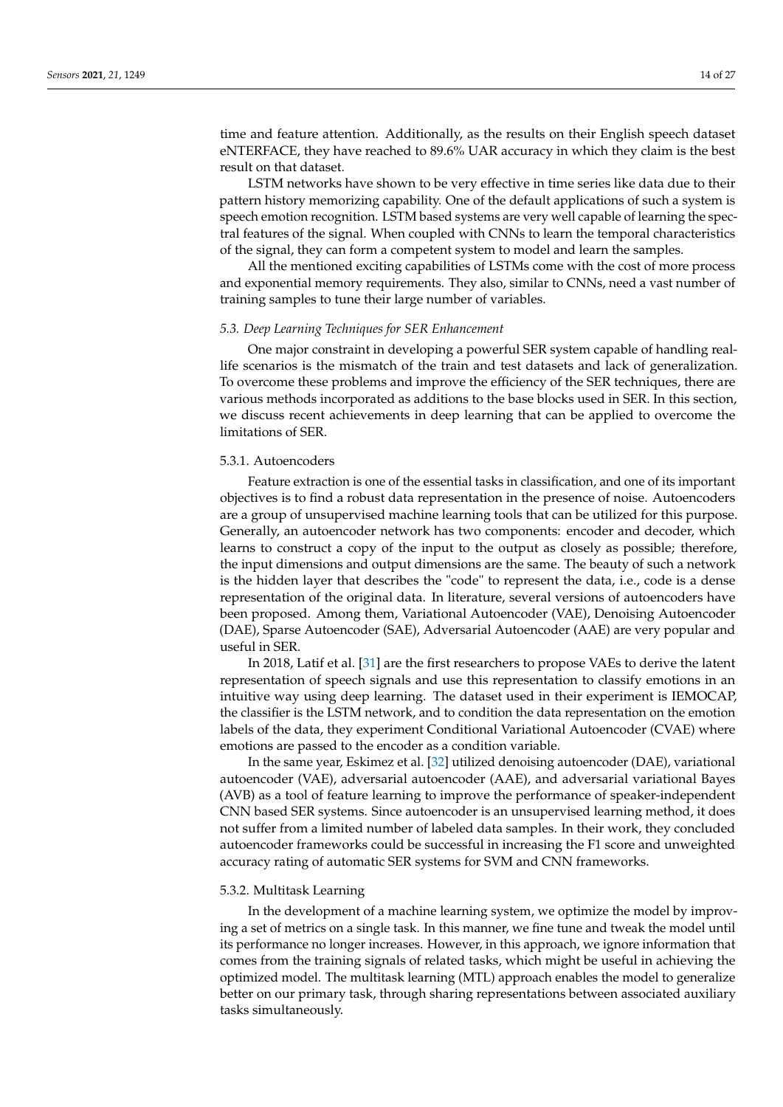time and feature attention. Additionally, as the results on their English speech dataset eNTERFACE, they have reached to 89.6% UAR accuracy in which they claim is the best result on that dataset.

LSTM networks have shown to be very effective in time series like data due to their pattern history memorizing capability. One of the default applications of such a system is speech emotion recognition. LSTM based systems are very well capable of learning the spectral features of the signal. When coupled with CNNs to learn the temporal characteristics of the signal, they can form a competent system to model and learn the samples.

All the mentioned exciting capabilities of LSTMs come with the cost of more process and exponential memory requirements. They also, similar to CNNs, need a vast number of training samples to tune their large number of variables.

## *5.3. Deep Learning Techniques for SER Enhancement*

One major constraint in developing a powerful SER system capable of handling reallife scenarios is the mismatch of the train and test datasets and lack of generalization. To overcome these problems and improve the efficiency of the SER techniques, there are various methods incorporated as additions to the base blocks used in SER. In this section, we discuss recent achievements in deep learning that can be applied to overcome the limitations of SER.

## 5.3.1. Autoencoders

Feature extraction is one of the essential tasks in classification, and one of its important objectives is to find a robust data representation in the presence of noise. Autoencoders are a group of unsupervised machine learning tools that can be utilized for this purpose. Generally, an autoencoder network has two components: encoder and decoder, which learns to construct a copy of the input to the output as closely as possible; therefore, the input dimensions and output dimensions are the same. The beauty of such a network is the hidden layer that describes the "code" to represent the data, i.e., code is a dense representation of the original data. In literature, several versions of autoencoders have been proposed. Among them, Variational Autoencoder (VAE), Denoising Autoencoder (DAE), Sparse Autoencoder (SAE), Adversarial Autoencoder (AAE) are very popular and useful in SER.

In 2018, Latif et al. [\[31\]](#page-24-25) are the first researchers to propose VAEs to derive the latent representation of speech signals and use this representation to classify emotions in an intuitive way using deep learning. The dataset used in their experiment is IEMOCAP, the classifier is the LSTM network, and to condition the data representation on the emotion labels of the data, they experiment Conditional Variational Autoencoder (CVAE) where emotions are passed to the encoder as a condition variable.

In the same year, Eskimez et al. [\[32\]](#page-24-26) utilized denoising autoencoder (DAE), variational autoencoder (VAE), adversarial autoencoder (AAE), and adversarial variational Bayes (AVB) as a tool of feature learning to improve the performance of speaker-independent CNN based SER systems. Since autoencoder is an unsupervised learning method, it does not suffer from a limited number of labeled data samples. In their work, they concluded autoencoder frameworks could be successful in increasing the F1 score and unweighted accuracy rating of automatic SER systems for SVM and CNN frameworks.

#### 5.3.2. Multitask Learning

In the development of a machine learning system, we optimize the model by improving a set of metrics on a single task. In this manner, we fine tune and tweak the model until its performance no longer increases. However, in this approach, we ignore information that comes from the training signals of related tasks, which might be useful in achieving the optimized model. The multitask learning (MTL) approach enables the model to generalize better on our primary task, through sharing representations between associated auxiliary tasks simultaneously.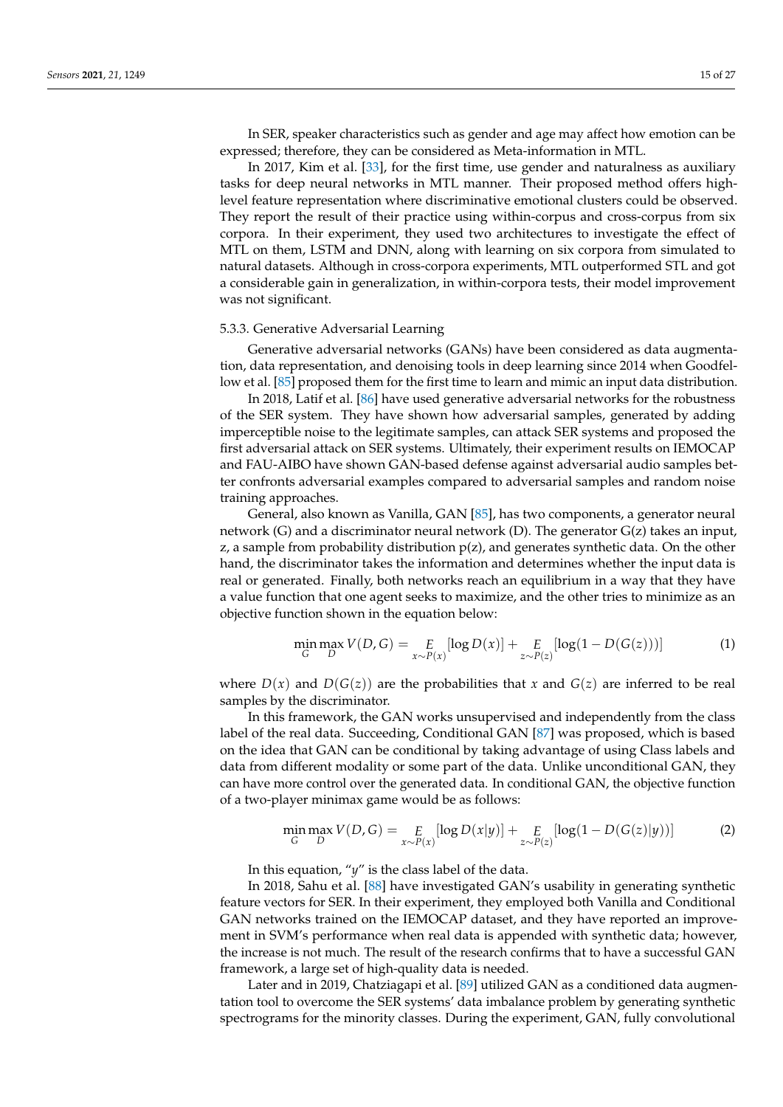In SER, speaker characteristics such as gender and age may affect how emotion can be expressed; therefore, they can be considered as Meta-information in MTL.

In 2017, Kim et al. [\[33\]](#page-24-2), for the first time, use gender and naturalness as auxiliary tasks for deep neural networks in MTL manner. Their proposed method offers highlevel feature representation where discriminative emotional clusters could be observed. They report the result of their practice using within-corpus and cross-corpus from six corpora. In their experiment, they used two architectures to investigate the effect of MTL on them, LSTM and DNN, along with learning on six corpora from simulated to natural datasets. Although in cross-corpora experiments, MTL outperformed STL and got a considerable gain in generalization, in within-corpora tests, their model improvement was not significant.

#### 5.3.3. Generative Adversarial Learning

Generative adversarial networks (GANs) have been considered as data augmentation, data representation, and denoising tools in deep learning since 2014 when Goodfellow et al. [\[85\]](#page-26-4) proposed them for the first time to learn and mimic an input data distribution.

In 2018, Latif et al. [\[86\]](#page-26-5) have used generative adversarial networks for the robustness of the SER system. They have shown how adversarial samples, generated by adding imperceptible noise to the legitimate samples, can attack SER systems and proposed the first adversarial attack on SER systems. Ultimately, their experiment results on IEMOCAP and FAU-AIBO have shown GAN-based defense against adversarial audio samples better confronts adversarial examples compared to adversarial samples and random noise training approaches.

General, also known as Vanilla, GAN [\[85\]](#page-26-4), has two components, a generator neural network (G) and a discriminator neural network (D). The generator G(z) takes an input, z, a sample from probability distribution  $p(z)$ , and generates synthetic data. On the other hand, the discriminator takes the information and determines whether the input data is real or generated. Finally, both networks reach an equilibrium in a way that they have a value function that one agent seeks to maximize, and the other tries to minimize as an objective function shown in the equation below:

$$
\min_{G} \max_{D} V(D, G) = E_{x \sim P(x)} [\log D(x)] + E_{z \sim P(z)} [\log (1 - D(G(z)))] \tag{1}
$$

where  $D(x)$  and  $D(G(z))$  are the probabilities that x and  $G(z)$  are inferred to be real samples by the discriminator.

In this framework, the GAN works unsupervised and independently from the class label of the real data. Succeeding, Conditional GAN [\[87\]](#page-26-6) was proposed, which is based on the idea that GAN can be conditional by taking advantage of using Class labels and data from different modality or some part of the data. Unlike unconditional GAN, they can have more control over the generated data. In conditional GAN, the objective function of a two-player minimax game would be as follows:

$$
\min_{G} \max_{D} V(D, G) = E_{x \sim P(x)} [\log D(x|y)] + E_{z \sim P(z)} [\log (1 - D(G(z)|y))]
$$
(2)

In this equation, "*y*" is the class label of the data.

In 2018, Sahu et al. [\[88\]](#page-26-7) have investigated GAN's usability in generating synthetic feature vectors for SER. In their experiment, they employed both Vanilla and Conditional GAN networks trained on the IEMOCAP dataset, and they have reported an improvement in SVM's performance when real data is appended with synthetic data; however, the increase is not much. The result of the research confirms that to have a successful GAN framework, a large set of high-quality data is needed.

Later and in 2019, Chatziagapi et al. [\[89\]](#page-26-8) utilized GAN as a conditioned data augmentation tool to overcome the SER systems' data imbalance problem by generating synthetic spectrograms for the minority classes. During the experiment, GAN, fully convolutional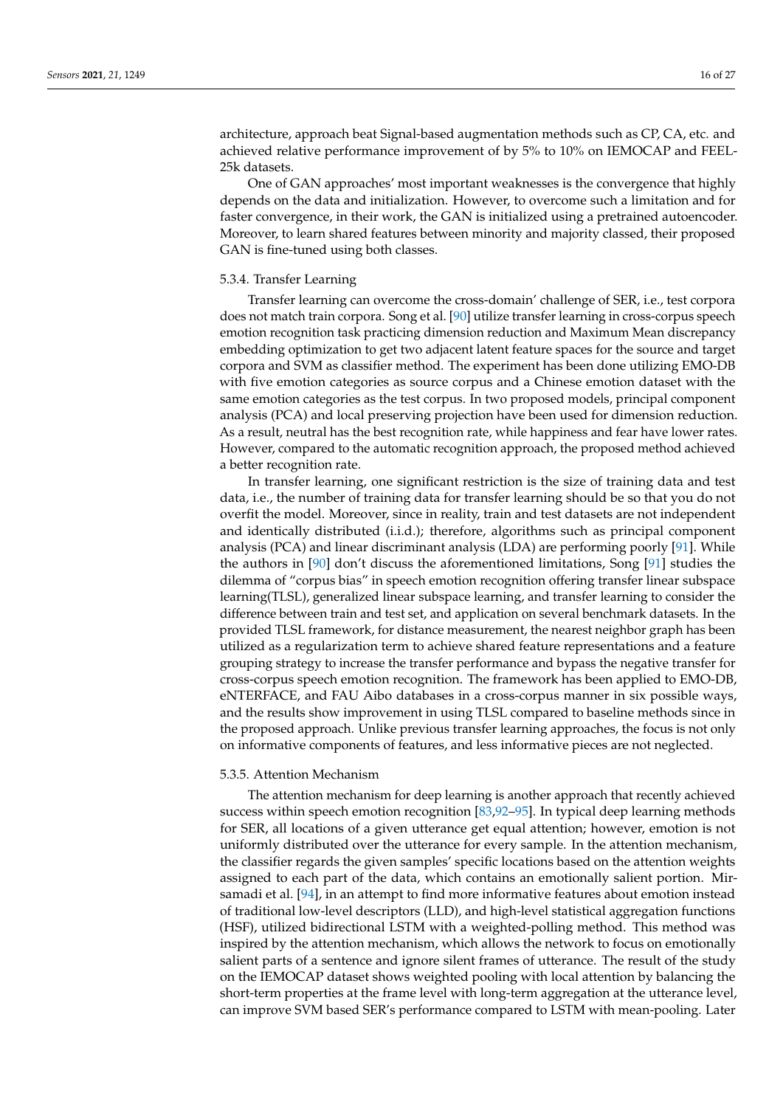architecture, approach beat Signal-based augmentation methods such as CP, CA, etc. and achieved relative performance improvement of by 5% to 10% on IEMOCAP and FEEL-25k datasets.

One of GAN approaches' most important weaknesses is the convergence that highly depends on the data and initialization. However, to overcome such a limitation and for faster convergence, in their work, the GAN is initialized using a pretrained autoencoder. Moreover, to learn shared features between minority and majority classed, their proposed GAN is fine-tuned using both classes.

## 5.3.4. Transfer Learning

Transfer learning can overcome the cross-domain' challenge of SER, i.e., test corpora does not match train corpora. Song et al. [\[90\]](#page-26-9) utilize transfer learning in cross-corpus speech emotion recognition task practicing dimension reduction and Maximum Mean discrepancy embedding optimization to get two adjacent latent feature spaces for the source and target corpora and SVM as classifier method. The experiment has been done utilizing EMO-DB with five emotion categories as source corpus and a Chinese emotion dataset with the same emotion categories as the test corpus. In two proposed models, principal component analysis (PCA) and local preserving projection have been used for dimension reduction. As a result, neutral has the best recognition rate, while happiness and fear have lower rates. However, compared to the automatic recognition approach, the proposed method achieved a better recognition rate.

In transfer learning, one significant restriction is the size of training data and test data, i.e., the number of training data for transfer learning should be so that you do not overfit the model. Moreover, since in reality, train and test datasets are not independent and identically distributed (i.i.d.); therefore, algorithms such as principal component analysis (PCA) and linear discriminant analysis (LDA) are performing poorly [\[91\]](#page-26-10). While the authors in [\[90\]](#page-26-9) don't discuss the aforementioned limitations, Song [\[91\]](#page-26-10) studies the dilemma of "corpus bias" in speech emotion recognition offering transfer linear subspace learning(TLSL), generalized linear subspace learning, and transfer learning to consider the difference between train and test set, and application on several benchmark datasets. In the provided TLSL framework, for distance measurement, the nearest neighbor graph has been utilized as a regularization term to achieve shared feature representations and a feature grouping strategy to increase the transfer performance and bypass the negative transfer for cross-corpus speech emotion recognition. The framework has been applied to EMO-DB, eNTERFACE, and FAU Aibo databases in a cross-corpus manner in six possible ways, and the results show improvement in using TLSL compared to baseline methods since in the proposed approach. Unlike previous transfer learning approaches, the focus is not only on informative components of features, and less informative pieces are not neglected.

## 5.3.5. Attention Mechanism

The attention mechanism for deep learning is another approach that recently achieved success within speech emotion recognition [\[83](#page-26-2)[,92–](#page-26-11)[95\]](#page-26-12). In typical deep learning methods for SER, all locations of a given utterance get equal attention; however, emotion is not uniformly distributed over the utterance for every sample. In the attention mechanism, the classifier regards the given samples' specific locations based on the attention weights assigned to each part of the data, which contains an emotionally salient portion. Mirsamadi et al. [\[94\]](#page-26-13), in an attempt to find more informative features about emotion instead of traditional low-level descriptors (LLD), and high-level statistical aggregation functions (HSF), utilized bidirectional LSTM with a weighted-polling method. This method was inspired by the attention mechanism, which allows the network to focus on emotionally salient parts of a sentence and ignore silent frames of utterance. The result of the study on the IEMOCAP dataset shows weighted pooling with local attention by balancing the short-term properties at the frame level with long-term aggregation at the utterance level, can improve SVM based SER's performance compared to LSTM with mean-pooling. Later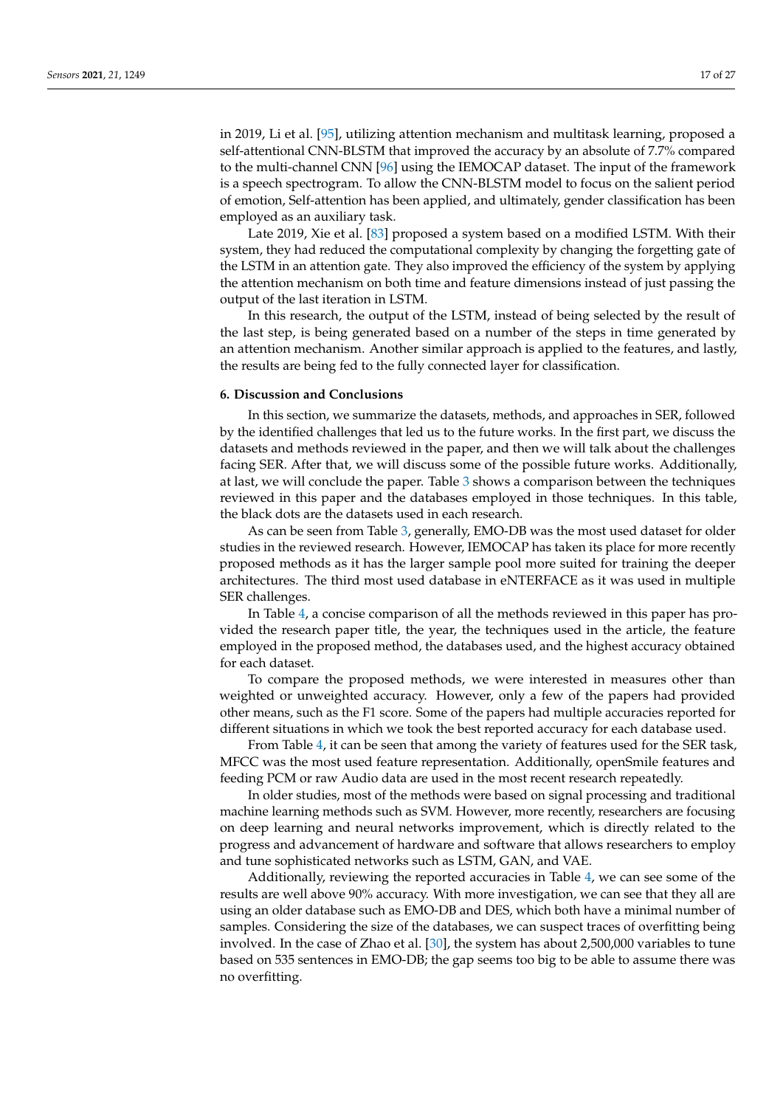in 2019, Li et al. [\[95\]](#page-26-12), utilizing attention mechanism and multitask learning, proposed a self-attentional CNN-BLSTM that improved the accuracy by an absolute of 7.7% compared to the multi-channel CNN [\[96\]](#page-26-14) using the IEMOCAP dataset. The input of the framework is a speech spectrogram. To allow the CNN-BLSTM model to focus on the salient period of emotion, Self-attention has been applied, and ultimately, gender classification has been employed as an auxiliary task.

Late 2019, Xie et al. [\[83\]](#page-26-2) proposed a system based on a modified LSTM. With their system, they had reduced the computational complexity by changing the forgetting gate of the LSTM in an attention gate. They also improved the efficiency of the system by applying the attention mechanism on both time and feature dimensions instead of just passing the output of the last iteration in LSTM.

In this research, the output of the LSTM, instead of being selected by the result of the last step, is being generated based on a number of the steps in time generated by an attention mechanism. Another similar approach is applied to the features, and lastly, the results are being fed to the fully connected layer for classification.

# **6. Discussion and Conclusions**

In this section, we summarize the datasets, methods, and approaches in SER, followed by the identified challenges that led us to the future works. In the first part, we discuss the datasets and methods reviewed in the paper, and then we will talk about the challenges facing SER. After that, we will discuss some of the possible future works. Additionally, at last, we will conclude the paper. Table [3](#page-17-0) shows a comparison between the techniques reviewed in this paper and the databases employed in those techniques. In this table, the black dots are the datasets used in each research.

As can be seen from Table [3,](#page-17-0) generally, EMO-DB was the most used dataset for older studies in the reviewed research. However, IEMOCAP has taken its place for more recently proposed methods as it has the larger sample pool more suited for training the deeper architectures. The third most used database in eNTERFACE as it was used in multiple SER challenges.

In Table [4,](#page-21-0) a concise comparison of all the methods reviewed in this paper has provided the research paper title, the year, the techniques used in the article, the feature employed in the proposed method, the databases used, and the highest accuracy obtained for each dataset.

To compare the proposed methods, we were interested in measures other than weighted or unweighted accuracy. However, only a few of the papers had provided other means, such as the F1 score. Some of the papers had multiple accuracies reported for different situations in which we took the best reported accuracy for each database used.

From Table [4,](#page-21-0) it can be seen that among the variety of features used for the SER task, MFCC was the most used feature representation. Additionally, openSmile features and feeding PCM or raw Audio data are used in the most recent research repeatedly.

In older studies, most of the methods were based on signal processing and traditional machine learning methods such as SVM. However, more recently, researchers are focusing on deep learning and neural networks improvement, which is directly related to the progress and advancement of hardware and software that allows researchers to employ and tune sophisticated networks such as LSTM, GAN, and VAE.

Additionally, reviewing the reported accuracies in Table [4,](#page-21-0) we can see some of the results are well above 90% accuracy. With more investigation, we can see that they all are using an older database such as EMO-DB and DES, which both have a minimal number of samples. Considering the size of the databases, we can suspect traces of overfitting being involved. In the case of Zhao et al. [\[30\]](#page-24-24), the system has about 2,500,000 variables to tune based on 535 sentences in EMO-DB; the gap seems too big to be able to assume there was no overfitting.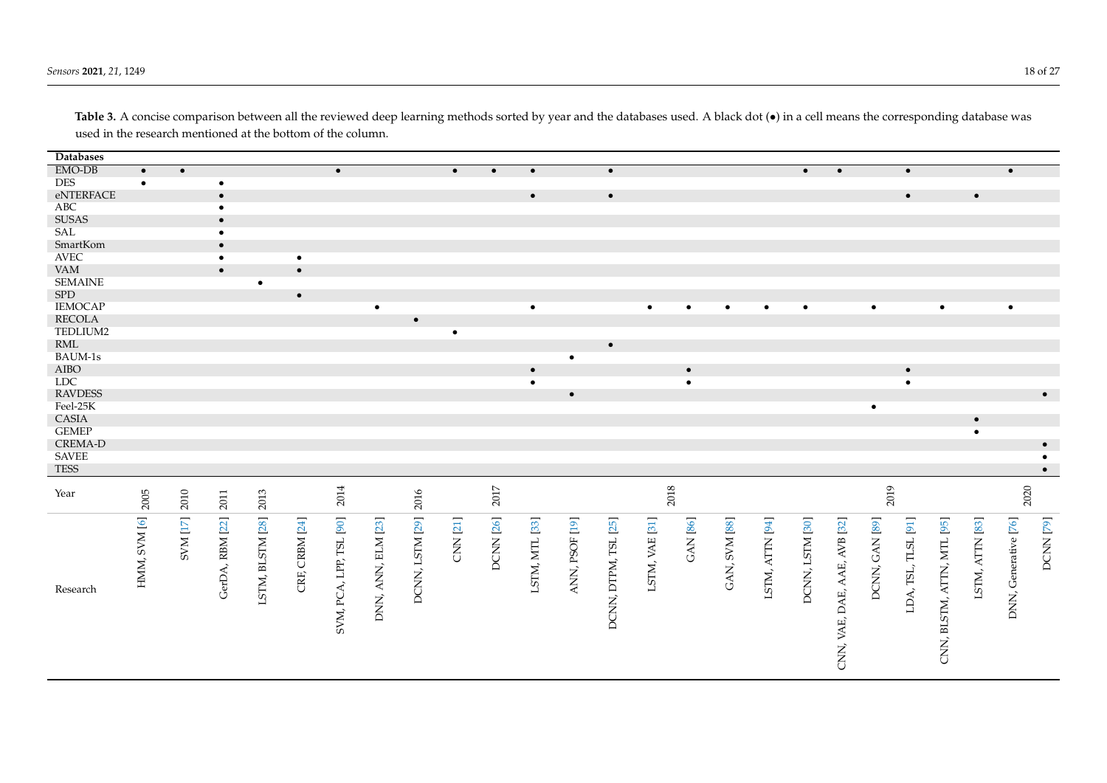*Sensors* **2021**, 21, 1249 18 of 27 and 27 and 27 and 27 and 27 and 27 and 27 and 27 and 27 and 27 and 27 and 27 and 27 and 27 and 27 and 27 and 27 and 27 and 27 and 27 and 27 and 27 and 27 and 27 and 27 and 27 and 27 and

<span id="page-17-0"></span>

| <b>Databases</b>      |              |                 |                 |                  |                |                         |                    |                 |                 |           |                |                |                      |                |                 |               |                 |                 |                              |                |                     |                            |                 |                      |           |
|-----------------------|--------------|-----------------|-----------------|------------------|----------------|-------------------------|--------------------|-----------------|-----------------|-----------|----------------|----------------|----------------------|----------------|-----------------|---------------|-----------------|-----------------|------------------------------|----------------|---------------------|----------------------------|-----------------|----------------------|-----------|
| EMO-DB                | $\bullet$    | $\bullet$       |                 |                  |                | $\bullet$               |                    |                 | $\bullet$       | $\bullet$ | $\bullet$      |                | $\bullet$            |                |                 |               |                 | $\bullet$       | $\bullet$                    |                | $\bullet$           |                            |                 | $\bullet$            |           |
| <b>DES</b>            |              |                 | $\bullet$       |                  |                |                         |                    |                 |                 |           |                |                |                      |                |                 |               |                 |                 |                              |                |                     |                            |                 |                      |           |
| eNTERFACE             |              |                 | $\bullet$       |                  |                |                         |                    |                 |                 |           | $\bullet$      |                | $\bullet$            |                |                 |               |                 |                 |                              |                | $\bullet$           |                            | $\bullet$       |                      |           |
| $\rm{ABC}$            |              |                 | $\bullet$       |                  |                |                         |                    |                 |                 |           |                |                |                      |                |                 |               |                 |                 |                              |                |                     |                            |                 |                      |           |
| <b>SUSAS</b>          |              |                 | $\bullet$       |                  |                |                         |                    |                 |                 |           |                |                |                      |                |                 |               |                 |                 |                              |                |                     |                            |                 |                      |           |
| $\operatorname{SAL}$  |              |                 |                 |                  |                |                         |                    |                 |                 |           |                |                |                      |                |                 |               |                 |                 |                              |                |                     |                            |                 |                      |           |
| SmartKom              |              |                 | $\bullet$       |                  |                |                         |                    |                 |                 |           |                |                |                      |                |                 |               |                 |                 |                              |                |                     |                            |                 |                      |           |
| $\operatorname{AVEC}$ |              |                 | $\bullet$       |                  | $\bullet$      |                         |                    |                 |                 |           |                |                |                      |                |                 |               |                 |                 |                              |                |                     |                            |                 |                      |           |
| <b>VAM</b>            |              |                 | $\bullet$       |                  | $\bullet$      |                         |                    |                 |                 |           |                |                |                      |                |                 |               |                 |                 |                              |                |                     |                            |                 |                      |           |
| <b>SEMAINE</b>        |              |                 |                 | $\bullet$        |                |                         |                    |                 |                 |           |                |                |                      |                |                 |               |                 |                 |                              |                |                     |                            |                 |                      |           |
| ${\rm SPD}$           |              |                 |                 |                  | $\bullet$      |                         |                    |                 |                 |           |                |                |                      |                |                 |               |                 |                 |                              |                |                     |                            |                 |                      |           |
| <b>IEMOCAP</b>        |              |                 |                 |                  |                |                         | $\bullet$          |                 |                 |           | $\bullet$      |                |                      | $\bullet$      | $\bullet$       |               | $\bullet$       | $\bullet$       |                              | $\bullet$      |                     | $\bullet$                  |                 | $\bullet$            |           |
| <b>RECOLA</b>         |              |                 |                 |                  |                |                         |                    | $\bullet$       |                 |           |                |                |                      |                |                 |               |                 |                 |                              |                |                     |                            |                 |                      |           |
| TEDLIUM2              |              |                 |                 |                  |                |                         |                    |                 | $\bullet$       |           |                |                |                      |                |                 |               |                 |                 |                              |                |                     |                            |                 |                      |           |
| $\mathop{\rm RML}$    |              |                 |                 |                  |                |                         |                    |                 |                 |           |                |                | $\bullet$            |                |                 |               |                 |                 |                              |                |                     |                            |                 |                      |           |
| BAUM-1s               |              |                 |                 |                  |                |                         |                    |                 |                 |           |                | $\bullet$      |                      |                |                 |               |                 |                 |                              |                |                     |                            |                 |                      |           |
| ${\rm AIBO}$          |              |                 |                 |                  |                |                         |                    |                 |                 |           | $\bullet$      |                |                      |                | $\bullet$       |               |                 |                 |                              |                | $\bullet$           |                            |                 |                      |           |
| <b>LDC</b>            |              |                 |                 |                  |                |                         |                    |                 |                 |           | $\bullet$      |                |                      |                | $\bullet$       |               |                 |                 |                              |                | $\bullet$           |                            |                 |                      |           |
| <b>RAVDESS</b>        |              |                 |                 |                  |                |                         |                    |                 |                 |           |                | $\bullet$      |                      |                |                 |               |                 |                 |                              |                |                     |                            |                 |                      | $\bullet$ |
| Feel-25K              |              |                 |                 |                  |                |                         |                    |                 |                 |           |                |                |                      |                |                 |               |                 |                 |                              | $\bullet$      |                     |                            |                 |                      |           |
| CASIA                 |              |                 |                 |                  |                |                         |                    |                 |                 |           |                |                |                      |                |                 |               |                 |                 |                              |                |                     |                            | $\bullet$       |                      |           |
| <b>GEMEP</b>          |              |                 |                 |                  |                |                         |                    |                 |                 |           |                |                |                      |                |                 |               |                 |                 |                              |                |                     |                            | $\bullet$       |                      |           |
| <b>CREMA-D</b>        |              |                 |                 |                  |                |                         |                    |                 |                 |           |                |                |                      |                |                 |               |                 |                 |                              |                |                     |                            |                 |                      | $\bullet$ |
| <b>SAVEE</b>          |              |                 |                 |                  |                |                         |                    |                 |                 |           |                |                |                      |                |                 |               |                 |                 |                              |                |                     |                            |                 |                      | $\bullet$ |
| TESS                  |              |                 |                 |                  |                |                         |                    |                 |                 |           |                |                |                      |                |                 |               |                 |                 |                              |                |                     |                            |                 |                      | $\bullet$ |
|                       |              |                 |                 |                  |                |                         |                    |                 |                 |           |                |                |                      |                |                 |               |                 |                 |                              |                |                     |                            |                 |                      |           |
| Year                  | 2005         | 2010            | 2011            | 2013             |                | 2014                    |                    | 2016            |                 | $2017\,$  |                |                |                      |                | 2018            |               |                 |                 |                              | 2019           |                     |                            |                 | 2020                 |           |
|                       |              |                 |                 |                  |                |                         |                    |                 |                 |           |                |                |                      |                |                 |               |                 |                 |                              |                |                     |                            |                 |                      |           |
|                       | HMM, SVM [6] |                 |                 |                  |                |                         |                    |                 |                 |           |                |                |                      |                |                 |               |                 |                 |                              |                |                     |                            |                 |                      |           |
|                       |              | <b>SVM</b> [17] | GerDA, RBM [22] | LSTM, BLSTM [28] | CRF, CRBM [24] | SVM, PCA, LPP, TSL [90] | DNN, ANN, ELM [23] | DCNN, LSTM [29] | <b>CNN [21]</b> | DCNN [26] | LSTM, MTL [33] | ANN, PSOF [19] | DCNN, DTPM, TSL [25] | LSTM, VAE [31] | <b>GAN [86]</b> | GAN, SVM [88] | LSTM, ATTN [94] | DCNN, LSTM [30] |                              | DCNN, GAN [89] | LDA, TSL, TLSL [91] |                            | LSTM, ATTN [83] | DNN, Generative [76] | DCNN [79] |
|                       |              |                 |                 |                  |                |                         |                    |                 |                 |           |                |                |                      |                |                 |               |                 |                 |                              |                |                     |                            |                 |                      |           |
|                       |              |                 |                 |                  |                |                         |                    |                 |                 |           |                |                |                      |                |                 |               |                 |                 |                              |                |                     |                            |                 |                      |           |
|                       |              |                 |                 |                  |                |                         |                    |                 |                 |           |                |                |                      |                |                 |               |                 |                 |                              |                |                     |                            |                 |                      |           |
|                       |              |                 |                 |                  |                |                         |                    |                 |                 |           |                |                |                      |                |                 |               |                 |                 |                              |                |                     |                            |                 |                      |           |
| Research              |              |                 |                 |                  |                |                         |                    |                 |                 |           |                |                |                      |                |                 |               |                 |                 |                              |                |                     |                            |                 |                      |           |
|                       |              |                 |                 |                  |                |                         |                    |                 |                 |           |                |                |                      |                |                 |               |                 |                 |                              |                |                     |                            |                 |                      |           |
|                       |              |                 |                 |                  |                |                         |                    |                 |                 |           |                |                |                      |                |                 |               |                 |                 |                              |                |                     |                            |                 |                      |           |
|                       |              |                 |                 |                  |                |                         |                    |                 |                 |           |                |                |                      |                |                 |               |                 |                 |                              |                |                     |                            |                 |                      |           |
|                       |              |                 |                 |                  |                |                         |                    |                 |                 |           |                |                |                      |                |                 |               |                 |                 |                              |                |                     |                            |                 |                      |           |
|                       |              |                 |                 |                  |                |                         |                    |                 |                 |           |                |                |                      |                |                 |               |                 |                 | CNN, VAE, DAE, AAE, AVB [32] |                |                     | CNN, BLSTM, ATTN, MTL [95] |                 |                      |           |
|                       |              |                 |                 |                  |                |                         |                    |                 |                 |           |                |                |                      |                |                 |               |                 |                 |                              |                |                     |                            |                 |                      |           |
|                       |              |                 |                 |                  |                |                         |                    |                 |                 |           |                |                |                      |                |                 |               |                 |                 |                              |                |                     |                            |                 |                      |           |

Table 3. A concise comparison between all the reviewed deep learning methods sorted by year and the databases used. A black dot ( $\bullet$ ) in a cell means the corresponding database was used in the research mentioned at the bottom of the column.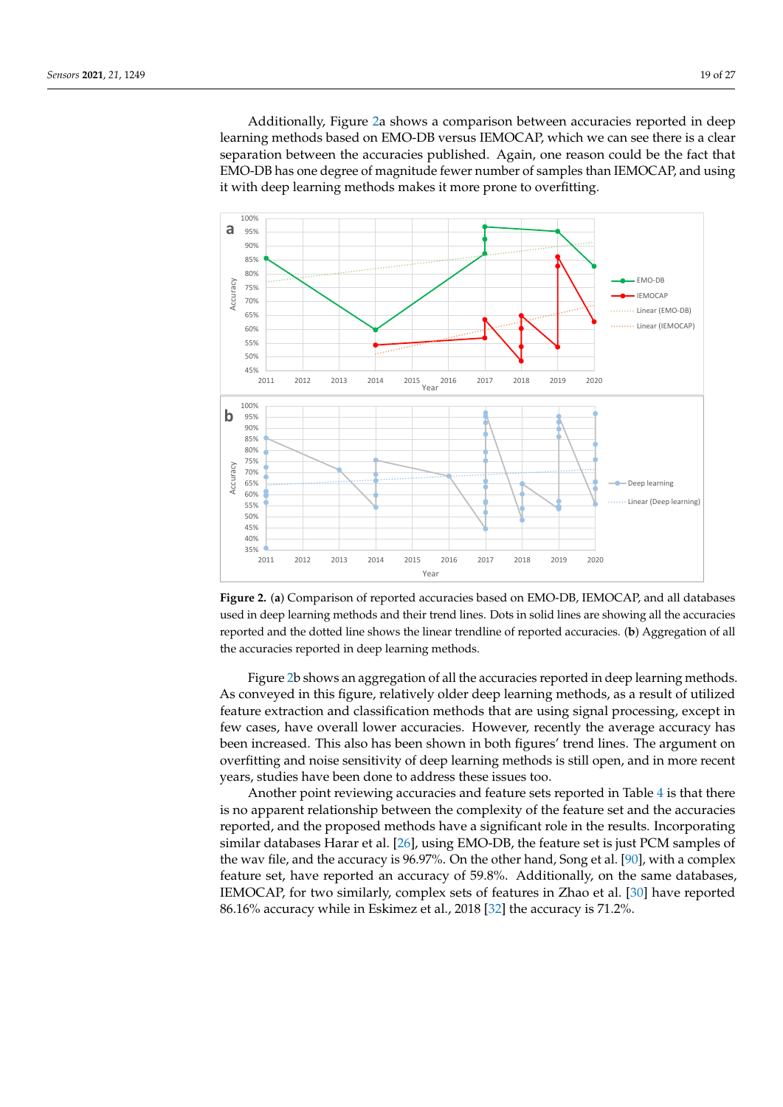Additionally, Figure [2a](#page-18-0) shows a comparison between accuracies reported in deep learning methods based on EMO-DB versus IEMOCAP, which we can see there is a clear separation between the accuracies published. Again, one reason could be the fact that EMO-DB has one degree of magnitude fewer number of samples than IEMOCAP, and using it with deep learning methods makes it more prone to overfitting.

<span id="page-18-0"></span>

**Figure 2.** (**a**) Comparison of reported accuracies based on EMO-DB, IEMOCAP, and all databases used in deep learning methods and their trend lines. Dots in solid lines are showing all the accuracies reported and the dotted line shows the linear trendline of reported accuracies. (**b**) Aggregation of all the accuracies reported in deep learning methods.

Figure [2b](#page-18-0) shows an aggregation of all the accuracies reported in deep learning methods. As conveyed in this figure, relatively older deep learning methods, as a result of utilized feature extraction and classification methods that are using signal processing, except in few cases, have overall lower accuracies. However, recently the average accuracy has been increased. This also has been shown in both figures' trend lines. The argument on overfitting and noise sensitivity of deep learning methods is still open, and in more recent years, studies have been done to address these issues too.

Another point reviewing accuracies and feature sets reported in Table [4](#page-21-0) is that there is no apparent relationship between the complexity of the feature set and the accuracies reported, and the proposed methods have a significant role in the results. Incorporating similar databases Harar et al. [\[26\]](#page-24-22), using EMO-DB, the feature set is just PCM samples of the wav file, and the accuracy is 96.97%. On the other hand, Song et al. [\[90\]](#page-26-9), with a complex feature set, have reported an accuracy of 59.8%. Additionally, on the same databases, IEMOCAP, for two similarly, complex sets of features in Zhao et al. [\[30\]](#page-24-24) have reported 86.16% accuracy while in Eskimez et al., 2018 [\[32\]](#page-24-26) the accuracy is 71.2%.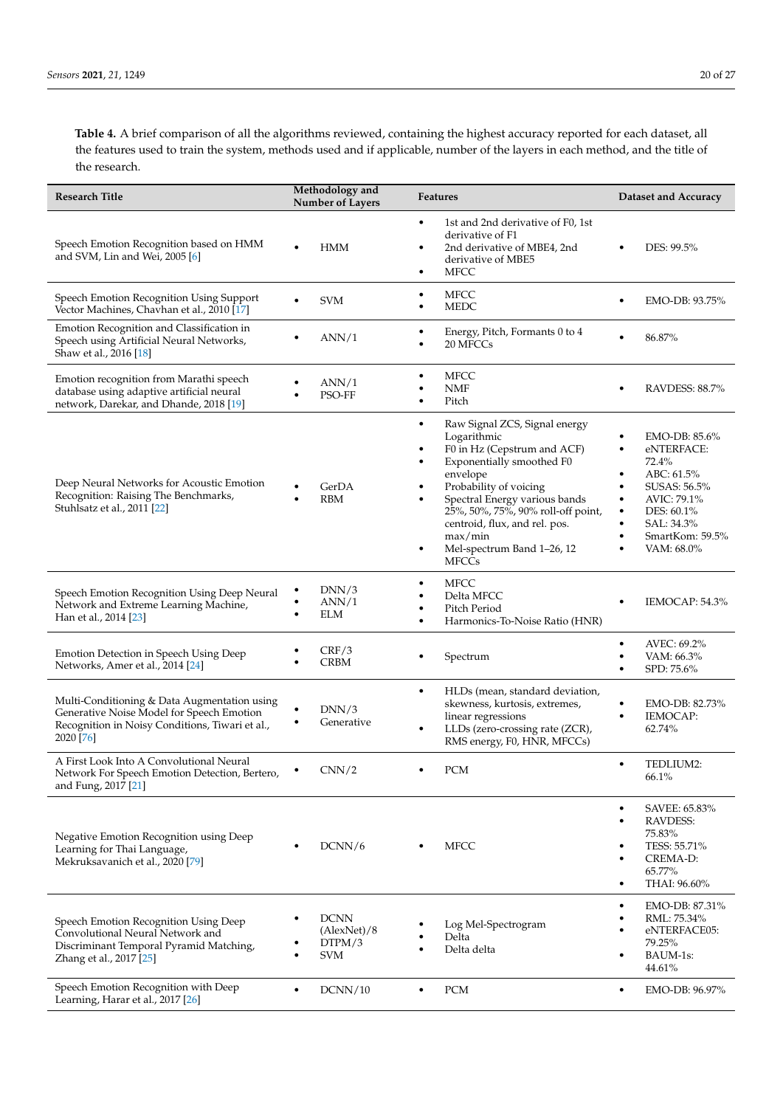**Table 4.** A brief comparison of all the algorithms reviewed, containing the highest accuracy reported for each dataset, all the features used to train the system, methods used and if applicable, number of the layers in each method, and the title of the research.

| <b>Research Title</b>                                                                                                                                     | Methodology and<br><b>Number of Layers</b>              | Features                                                                                                                                                                                                                                                                                                                          | <b>Dataset and Accuracy</b>                                                                                                                                                                |  |  |  |  |
|-----------------------------------------------------------------------------------------------------------------------------------------------------------|---------------------------------------------------------|-----------------------------------------------------------------------------------------------------------------------------------------------------------------------------------------------------------------------------------------------------------------------------------------------------------------------------------|--------------------------------------------------------------------------------------------------------------------------------------------------------------------------------------------|--|--|--|--|
| Speech Emotion Recognition based on HMM<br>and SVM, Lin and Wei, 2005 [6]                                                                                 | <b>HMM</b><br>٠                                         | 1st and 2nd derivative of F0, 1st<br>$\bullet$<br>derivative of F1<br>2nd derivative of MBE4, 2nd<br>٠<br>derivative of MBE5<br><b>MFCC</b><br>٠                                                                                                                                                                                  | DES: 99.5%<br>$\bullet$                                                                                                                                                                    |  |  |  |  |
| Speech Emotion Recognition Using Support<br>Vector Machines, Chavhan et al., 2010 [17]                                                                    | <b>SVM</b>                                              | <b>MFCC</b><br>$\bullet$<br><b>MEDC</b><br>٠                                                                                                                                                                                                                                                                                      | EMO-DB: 93.75%<br>$\bullet$                                                                                                                                                                |  |  |  |  |
| Emotion Recognition and Classification in<br>Speech using Artificial Neural Networks,<br>Shaw et al., 2016 [18]                                           | ANN/1                                                   | Energy, Pitch, Formants 0 to 4<br>$\bullet$<br>20 MFCCs                                                                                                                                                                                                                                                                           | 86.87%                                                                                                                                                                                     |  |  |  |  |
| Emotion recognition from Marathi speech<br>database using adaptive artificial neural<br>network, Darekar, and Dhande, 2018 [19]                           | ANN/1<br>PSO-FF<br>٠                                    | <b>MFCC</b><br>٠<br><b>NMF</b><br>Pitch<br>٠                                                                                                                                                                                                                                                                                      | RAVDESS: 88.7%<br>٠                                                                                                                                                                        |  |  |  |  |
| Deep Neural Networks for Acoustic Emotion<br>Recognition: Raising The Benchmarks,<br>Stuhlsatz et al., 2011 [22]                                          | GerDA<br><b>RBM</b><br>$\bullet$                        | Raw Signal ZCS, Signal energy<br>٠<br>Logarithmic<br>F0 in Hz (Cepstrum and ACF)<br>Exponentially smoothed F0<br>envelope<br>Probability of voicing<br>Spectral Energy various bands<br>25%, 50%, 75%, 90% roll-off point,<br>centroid, flux, and rel. pos.<br>max/min<br>Mel-spectrum Band 1-26, 12<br>$\bullet$<br><b>MFCCs</b> | EMO-DB: 85.6%<br>eNTERFACE:<br>72.4%<br>ABC: 61.5%<br>SUSAS: 56.5%<br>AVIC: 79.1%<br>$\bullet$<br>DES: 60.1%<br>$\bullet$<br>SAL: 34.3%<br>$\bullet$<br>SmartKom: 59.5%<br>٠<br>VAM: 68.0% |  |  |  |  |
| Speech Emotion Recognition Using Deep Neural<br>Network and Extreme Learning Machine,<br>Han et al., 2014 [23]                                            | DNN/3<br>ANN/1<br>٠<br>ELM<br>$\bullet$                 | <b>MFCC</b><br>٠<br>Delta MFCC<br>Pitch Period<br>Harmonics-To-Noise Ratio (HNR)<br>$\bullet$                                                                                                                                                                                                                                     | IEMOCAP: 54.3%                                                                                                                                                                             |  |  |  |  |
| Emotion Detection in Speech Using Deep<br>Networks, Amer et al., 2014 [24]                                                                                | CRF/3<br><b>CRBM</b><br>٠                               | Spectrum<br>٠                                                                                                                                                                                                                                                                                                                     | AVEC: 69.2%<br>$\bullet$<br>VAM: 66.3%<br>SPD: 75.6%                                                                                                                                       |  |  |  |  |
| Multi-Conditioning & Data Augmentation using<br>Generative Noise Model for Speech Emotion<br>Recognition in Noisy Conditions, Tiwari et al.,<br>2020 [76] | DNN/3<br>Generative<br>٠                                | HLDs (mean, standard deviation,<br>$\bullet$<br>skewness, kurtosis, extremes,<br>linear regressions<br>LLDs (zero-crossing rate (ZCR),<br>$\bullet$<br>RMS energy, F0, HNR, MFCCs)                                                                                                                                                | EMO-DB: 82.73%<br>$\bullet$<br>IEMOCAP:<br>٠<br>62.74%                                                                                                                                     |  |  |  |  |
| A First Look Into A Convolutional Neural<br>Network For Speech Emotion Detection, Bertero,<br>and Fung, 2017 [21]                                         | CNN/2                                                   | $\mathop{\rm PCM}\nolimits$                                                                                                                                                                                                                                                                                                       | TEDLIUM2:<br>$\bullet$<br>66.1%                                                                                                                                                            |  |  |  |  |
| Negative Emotion Recognition using Deep<br>Learning for Thai Language,<br>Mekruksavanich et al., 2020 [79]                                                | DCNN/6                                                  | <b>MFCC</b>                                                                                                                                                                                                                                                                                                                       | SAVEE: 65.83%<br>$\bullet$<br>RAVDESS:<br>$\bullet$<br>75.83%<br>TESS: 55.71%<br>٠<br>CREMA-D:<br>65.77%<br>THAI: 96.60%<br>٠                                                              |  |  |  |  |
| Speech Emotion Recognition Using Deep<br>Convolutional Neural Network and<br>Discriminant Temporal Pyramid Matching,<br>Zhang et al., 2017 [25]           | <b>DCNN</b><br>٠<br>(AlexNet)/8<br>DTPM/3<br><b>SVM</b> | Log Mel-Spectrogram<br>Delta<br>Delta delta                                                                                                                                                                                                                                                                                       | EMO-DB: 87.31%<br>٠<br>RML: 75.34%<br>$\bullet$<br>eNTERFACE05:<br>79.25%<br>BAUM-1s:<br>$\bullet$<br>44.61%                                                                               |  |  |  |  |
| Speech Emotion Recognition with Deep<br>Learning, Harar et al., 2017 [26]                                                                                 | DCNN/10<br>$\bullet$                                    | PCM<br>$\bullet$                                                                                                                                                                                                                                                                                                                  | EMO-DB: 96.97%<br>$\bullet$                                                                                                                                                                |  |  |  |  |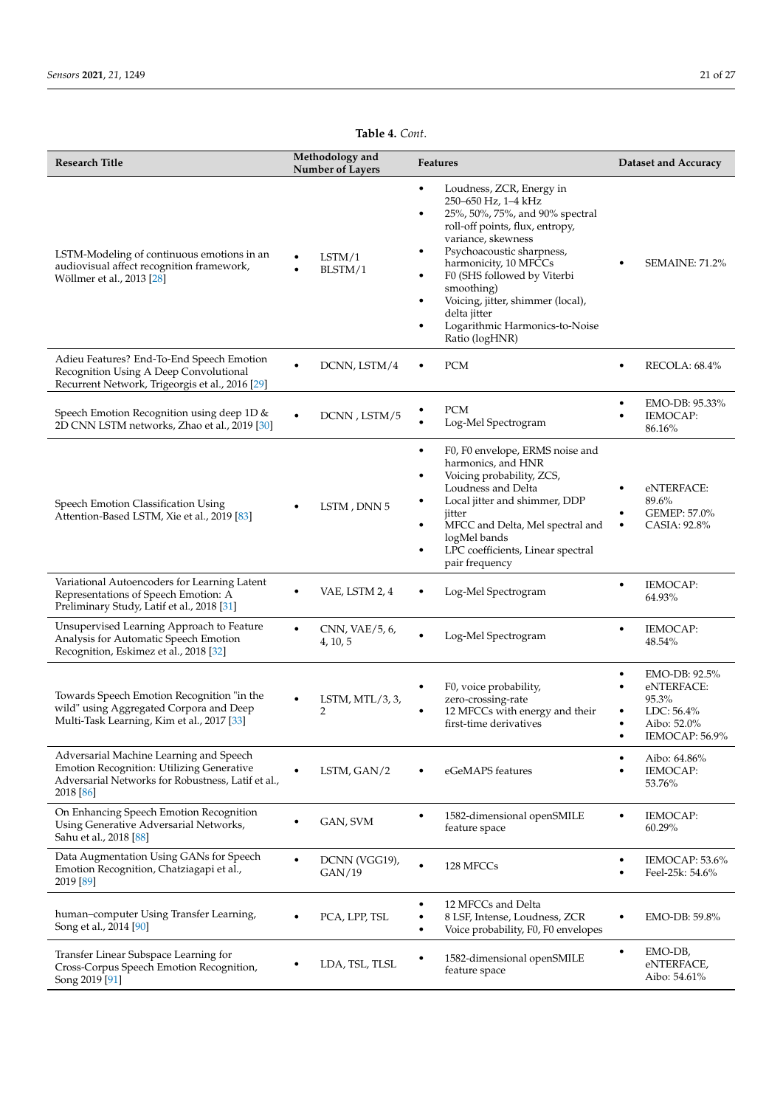# **Table 4.** *Cont*.

| <b>Research Title</b>                                                                                                                                   | Methodology and<br><b>Number of Layers</b> | <b>Features</b>                                                                                                                                                                                                                                                                                                                                                                               | <b>Dataset and Accuracy</b>                                                                              |  |  |  |  |
|---------------------------------------------------------------------------------------------------------------------------------------------------------|--------------------------------------------|-----------------------------------------------------------------------------------------------------------------------------------------------------------------------------------------------------------------------------------------------------------------------------------------------------------------------------------------------------------------------------------------------|----------------------------------------------------------------------------------------------------------|--|--|--|--|
| LSTM-Modeling of continuous emotions in an<br>audiovisual affect recognition framework,<br>Wöllmer et al., 2013 [28]                                    | LSTM/1<br>٠<br>BLSTM/1<br>$\bullet$        | Loudness, ZCR, Energy in<br>٠<br>250-650 Hz, 1-4 kHz<br>25%, 50%, 75%, and 90% spectral<br>$\bullet$<br>roll-off points, flux, entropy,<br>variance, skewness<br>Psychoacoustic sharpness,<br>٠<br>harmonicity, 10 MFCCs<br>F0 (SHS followed by Viterbi<br>٠<br>smoothing)<br>Voicing, jitter, shimmer (local),<br>٠<br>delta jitter<br>Logarithmic Harmonics-to-Noise<br>٠<br>Ratio (logHNR) | <b>SEMAINE: 71.2%</b>                                                                                    |  |  |  |  |
| Adieu Features? End-To-End Speech Emotion<br>Recognition Using A Deep Convolutional<br>Recurrent Network, Trigeorgis et al., 2016 [29]                  | DCNN, LSTM/4                               | <b>PCM</b><br>$\bullet$                                                                                                                                                                                                                                                                                                                                                                       | RECOLA: 68.4%<br>٠                                                                                       |  |  |  |  |
| Speech Emotion Recognition using deep 1D &<br>2D CNN LSTM networks, Zhao et al., 2019 [30]                                                              | DCNN, LSTM/5                               | <b>PCM</b><br>Log-Mel Spectrogram                                                                                                                                                                                                                                                                                                                                                             | EMO-DB: 95.33%<br>$\bullet$<br>IEMOCAP:<br>86.16%                                                        |  |  |  |  |
| Speech Emotion Classification Using<br>Attention-Based LSTM, Xie et al., 2019 [83]                                                                      | LSTM, DNN 5                                | F0, F0 envelope, ERMS noise and<br>$\bullet$<br>harmonics, and HNR<br>Voicing probability, ZCS,<br>٠<br>Loudness and Delta<br>Local jitter and shimmer, DDP<br>٠<br>jitter<br>MFCC and Delta, Mel spectral and<br>٠<br>logMel bands<br>LPC coefficients, Linear spectral<br>$\bullet$<br>pair frequency                                                                                       | eNTERFACE:<br>89.6%<br>GEMEP: 57.0%<br>CASIA: 92.8%<br>$\bullet$                                         |  |  |  |  |
| Variational Autoencoders for Learning Latent<br>Representations of Speech Emotion: A<br>Preliminary Study, Latif et al., 2018 [31]                      | VAE, LSTM 2, 4                             | Log-Mel Spectrogram                                                                                                                                                                                                                                                                                                                                                                           | <b>IEMOCAP:</b><br>$\bullet$<br>64.93%                                                                   |  |  |  |  |
| Unsupervised Learning Approach to Feature<br>Analysis for Automatic Speech Emotion<br>Recognition, Eskimez et al., 2018 [32]                            | CNN, VAE/5, 6,<br>4, 10, 5                 | Log-Mel Spectrogram<br>$\bullet$                                                                                                                                                                                                                                                                                                                                                              | <b>IEMOCAP:</b><br>٠<br>48.54%                                                                           |  |  |  |  |
| Towards Speech Emotion Recognition "in the<br>wild" using Aggregated Corpora and Deep<br>Multi-Task Learning, Kim et al., 2017 [33]                     | LSTM, $MTL/3, 3,$<br>٠<br>2                | F0, voice probability,<br>$\bullet$<br>zero-crossing-rate<br>12 MFCCs with energy and their<br>$\bullet$<br>first-time derivatives                                                                                                                                                                                                                                                            | EMO-DB: 92.5%<br>$\bullet$<br>eNTERFACE:<br>٠<br>95.3%<br>$LDC: 56.4\%$<br>Aibo: 52.0%<br>IEMOCAP: 56.9% |  |  |  |  |
| Adversarial Machine Learning and Speech<br>Emotion Recognition: Utilizing Generative<br>Adversarial Networks for Robustness, Latif et al.,<br>2018 [86] | LSTM, GAN/2                                | eGeMAPS features                                                                                                                                                                                                                                                                                                                                                                              | Aibo: 64.86%<br>٠<br>IEMOCAP:<br>53.76%                                                                  |  |  |  |  |
| On Enhancing Speech Emotion Recognition<br>Using Generative Adversarial Networks,<br>Sahu et al., 2018 [88]                                             | GAN, SVM                                   | 1582-dimensional openSMILE<br>$\bullet$<br>feature space                                                                                                                                                                                                                                                                                                                                      | <b>IEMOCAP:</b><br>$\bullet$<br>60.29%                                                                   |  |  |  |  |
| Data Augmentation Using GANs for Speech<br>Emotion Recognition, Chatziagapi et al.,<br>2019 [89]                                                        | DCNN (VGG19),<br>$\bullet$<br>GAN/19       | 128 MFCCs<br>$\bullet$                                                                                                                                                                                                                                                                                                                                                                        | IEMOCAP: 53.6%<br>٠<br>Feel-25k: 54.6%<br>٠                                                              |  |  |  |  |
| human-computer Using Transfer Learning,<br>Song et al., 2014 [90]                                                                                       | PCA, LPP, TSL                              | 12 MFCCs and Delta<br>$\bullet$<br>8 LSF, Intense, Loudness, ZCR<br>Voice probability, F0, F0 envelopes<br>٠                                                                                                                                                                                                                                                                                  | EMO-DB: 59.8%<br>$\bullet$                                                                               |  |  |  |  |
| Transfer Linear Subspace Learning for<br>Cross-Corpus Speech Emotion Recognition,<br>Song 2019 [91]                                                     | LDA, TSL, TLSL                             | 1582-dimensional openSMILE<br>$\bullet$<br>feature space                                                                                                                                                                                                                                                                                                                                      | EMO-DB,<br>$\bullet$<br>eNTERFACE,<br>Aibo: 54.61%                                                       |  |  |  |  |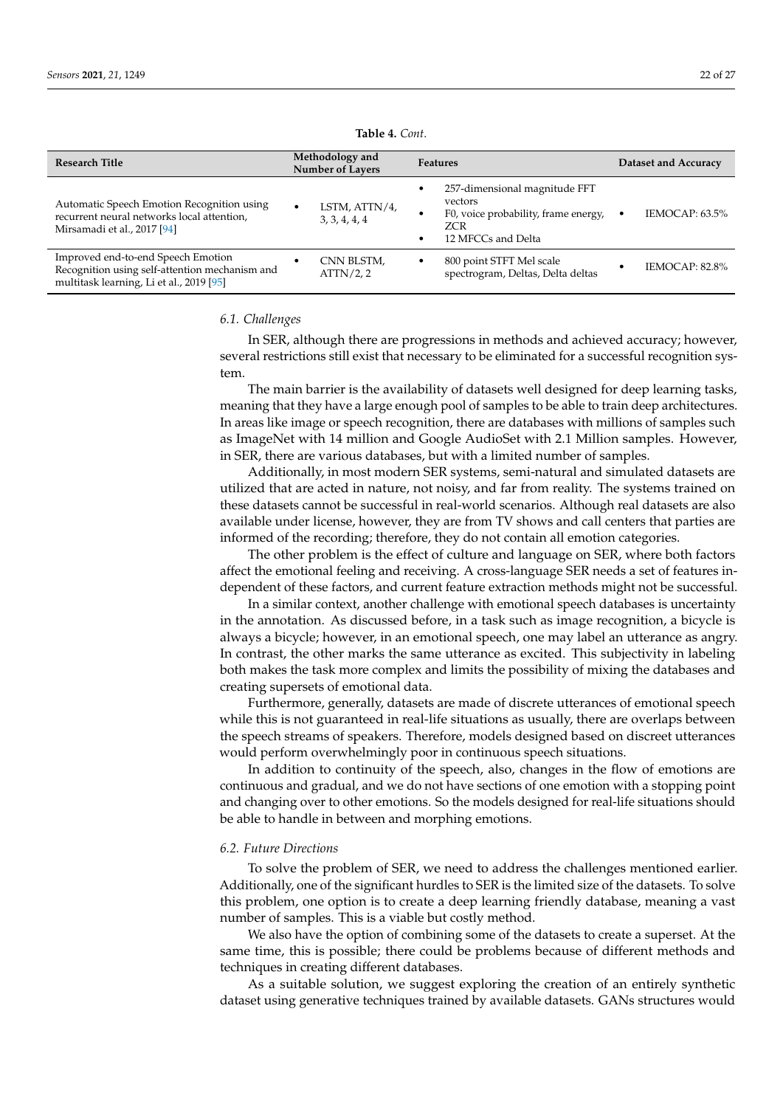<span id="page-21-0"></span>

| <b>Research Title</b>                                                                                                            | Methodology and<br><b>Number of Layers</b>  | <b>Features</b>                                                                                                              | Dataset and Accuracy |  |  |
|----------------------------------------------------------------------------------------------------------------------------------|---------------------------------------------|------------------------------------------------------------------------------------------------------------------------------|----------------------|--|--|
| Automatic Speech Emotion Recognition using<br>recurrent neural networks local attention,<br>Mirsamadi et al., 2017 [94]          | LSTM, ATTN/4,<br>$\bullet$<br>3, 3, 4, 4, 4 | 257-dimensional magnitude FFT<br>٠<br>vectors<br>F0, voice probability, frame energy,<br>٠<br>ZCR<br>12 MFCCs and Delta<br>٠ | IEMOCAP: 63.5%       |  |  |
| Improved end-to-end Speech Emotion<br>Recognition using self-attention mechanism and<br>multitask learning, Li et al., 2019 [95] | CNN BLSTM,<br>ATTN/2, 2                     | 800 point STFT Mel scale<br>٠<br>spectrogram, Deltas, Delta deltas                                                           | IEMOCAP: 82.8%       |  |  |

**Table 4.** *Cont*.

#### *6.1. Challenges*

In SER, although there are progressions in methods and achieved accuracy; however, several restrictions still exist that necessary to be eliminated for a successful recognition system.

The main barrier is the availability of datasets well designed for deep learning tasks, meaning that they have a large enough pool of samples to be able to train deep architectures. In areas like image or speech recognition, there are databases with millions of samples such as ImageNet with 14 million and Google AudioSet with 2.1 Million samples. However, in SER, there are various databases, but with a limited number of samples.

Additionally, in most modern SER systems, semi-natural and simulated datasets are utilized that are acted in nature, not noisy, and far from reality. The systems trained on these datasets cannot be successful in real-world scenarios. Although real datasets are also available under license, however, they are from TV shows and call centers that parties are informed of the recording; therefore, they do not contain all emotion categories.

The other problem is the effect of culture and language on SER, where both factors affect the emotional feeling and receiving. A cross-language SER needs a set of features independent of these factors, and current feature extraction methods might not be successful.

In a similar context, another challenge with emotional speech databases is uncertainty in the annotation. As discussed before, in a task such as image recognition, a bicycle is always a bicycle; however, in an emotional speech, one may label an utterance as angry. In contrast, the other marks the same utterance as excited. This subjectivity in labeling both makes the task more complex and limits the possibility of mixing the databases and creating supersets of emotional data.

Furthermore, generally, datasets are made of discrete utterances of emotional speech while this is not guaranteed in real-life situations as usually, there are overlaps between the speech streams of speakers. Therefore, models designed based on discreet utterances would perform overwhelmingly poor in continuous speech situations.

In addition to continuity of the speech, also, changes in the flow of emotions are continuous and gradual, and we do not have sections of one emotion with a stopping point and changing over to other emotions. So the models designed for real-life situations should be able to handle in between and morphing emotions.

### *6.2. Future Directions*

To solve the problem of SER, we need to address the challenges mentioned earlier. Additionally, one of the significant hurdles to SER is the limited size of the datasets. To solve this problem, one option is to create a deep learning friendly database, meaning a vast number of samples. This is a viable but costly method.

We also have the option of combining some of the datasets to create a superset. At the same time, this is possible; there could be problems because of different methods and techniques in creating different databases.

As a suitable solution, we suggest exploring the creation of an entirely synthetic dataset using generative techniques trained by available datasets. GANs structures would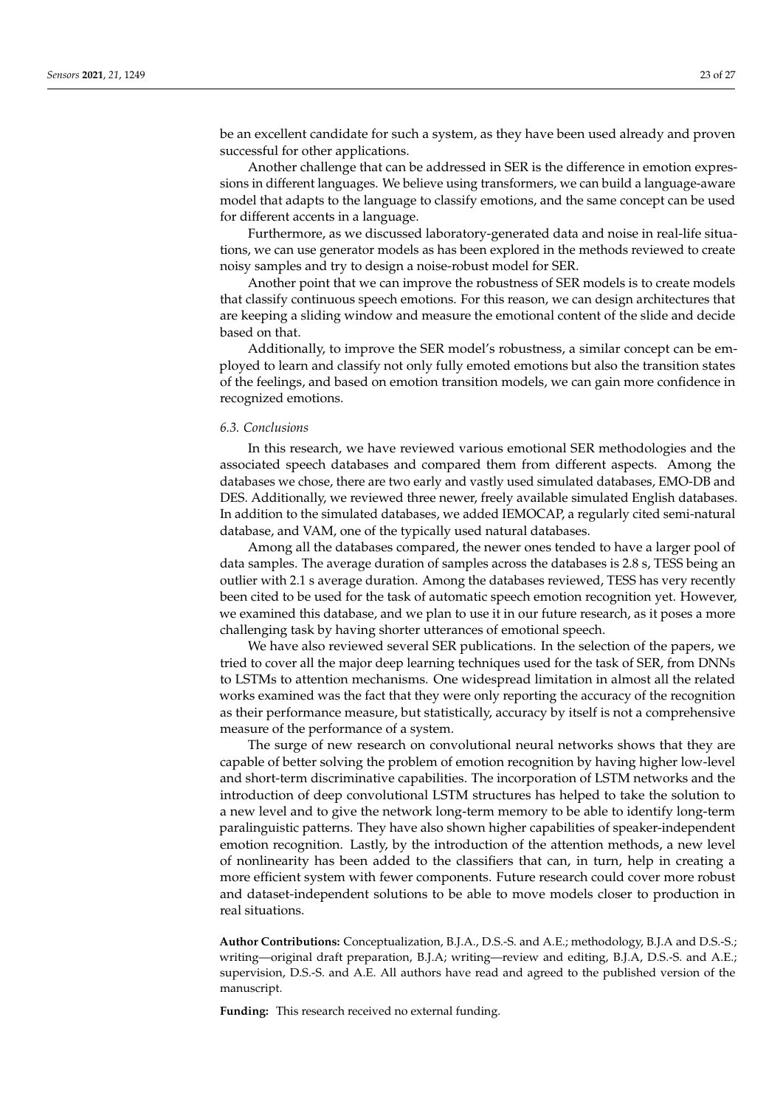be an excellent candidate for such a system, as they have been used already and proven successful for other applications.

Another challenge that can be addressed in SER is the difference in emotion expressions in different languages. We believe using transformers, we can build a language-aware model that adapts to the language to classify emotions, and the same concept can be used for different accents in a language.

Furthermore, as we discussed laboratory-generated data and noise in real-life situations, we can use generator models as has been explored in the methods reviewed to create noisy samples and try to design a noise-robust model for SER.

Another point that we can improve the robustness of SER models is to create models that classify continuous speech emotions. For this reason, we can design architectures that are keeping a sliding window and measure the emotional content of the slide and decide based on that.

Additionally, to improve the SER model's robustness, a similar concept can be employed to learn and classify not only fully emoted emotions but also the transition states of the feelings, and based on emotion transition models, we can gain more confidence in recognized emotions.

## *6.3. Conclusions*

In this research, we have reviewed various emotional SER methodologies and the associated speech databases and compared them from different aspects. Among the databases we chose, there are two early and vastly used simulated databases, EMO-DB and DES. Additionally, we reviewed three newer, freely available simulated English databases. In addition to the simulated databases, we added IEMOCAP, a regularly cited semi-natural database, and VAM, one of the typically used natural databases.

Among all the databases compared, the newer ones tended to have a larger pool of data samples. The average duration of samples across the databases is 2.8 s, TESS being an outlier with 2.1 s average duration. Among the databases reviewed, TESS has very recently been cited to be used for the task of automatic speech emotion recognition yet. However, we examined this database, and we plan to use it in our future research, as it poses a more challenging task by having shorter utterances of emotional speech.

We have also reviewed several SER publications. In the selection of the papers, we tried to cover all the major deep learning techniques used for the task of SER, from DNNs to LSTMs to attention mechanisms. One widespread limitation in almost all the related works examined was the fact that they were only reporting the accuracy of the recognition as their performance measure, but statistically, accuracy by itself is not a comprehensive measure of the performance of a system.

The surge of new research on convolutional neural networks shows that they are capable of better solving the problem of emotion recognition by having higher low-level and short-term discriminative capabilities. The incorporation of LSTM networks and the introduction of deep convolutional LSTM structures has helped to take the solution to a new level and to give the network long-term memory to be able to identify long-term paralinguistic patterns. They have also shown higher capabilities of speaker-independent emotion recognition. Lastly, by the introduction of the attention methods, a new level of nonlinearity has been added to the classifiers that can, in turn, help in creating a more efficient system with fewer components. Future research could cover more robust and dataset-independent solutions to be able to move models closer to production in real situations.

**Author Contributions:** Conceptualization, B.J.A., D.S.-S. and A.E.; methodology, B.J.A and D.S.-S.; writing—original draft preparation, B.J.A; writing—review and editing, B.J.A, D.S.-S. and A.E.; supervision, D.S.-S. and A.E. All authors have read and agreed to the published version of the manuscript.

**Funding:** This research received no external funding.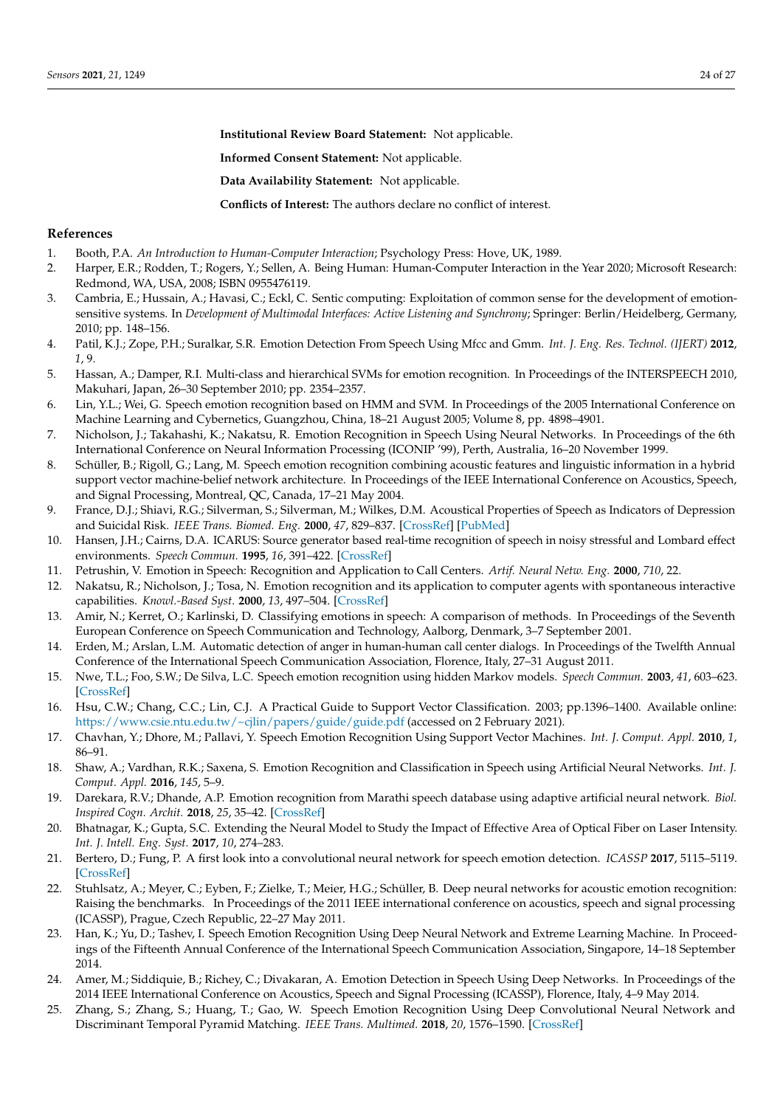**Institutional Review Board Statement:** Not applicable.

**Informed Consent Statement:** Not applicable.

**Data Availability Statement:** Not applicable.

**Conflicts of Interest:** The authors declare no conflict of interest.

## <span id="page-23-25"></span>**References**

- <span id="page-23-0"></span>1. Booth, P.A. *An Introduction to Human-Computer Interaction*; Psychology Press: Hove, UK, 1989.
- <span id="page-23-1"></span>2. Harper, E.R.; Rodden, T.; Rogers, Y.; Sellen, A. Being Human: Human-Computer Interaction in the Year 2020; Microsoft Research: Redmond, WA, USA, 2008; ISBN 0955476119.
- <span id="page-23-2"></span>3. Cambria, E.; Hussain, A.; Havasi, C.; Eckl, C. Sentic computing: Exploitation of common sense for the development of emotionsensitive systems. In *Development of Multimodal Interfaces: Active Listening and Synchrony*; Springer: Berlin/Heidelberg, Germany, 2010; pp. 148–156.
- <span id="page-23-3"></span>4. Patil, K.J.; Zope, P.H.; Suralkar, S.R. Emotion Detection From Speech Using Mfcc and Gmm. *Int. J. Eng. Res. Technol. (IJERT)* **2012**, *1*, 9.
- <span id="page-23-11"></span>5. Hassan, A.; Damper, R.I. Multi-class and hierarchical SVMs for emotion recognition. In Proceedings of the INTERSPEECH 2010, Makuhari, Japan, 26–30 September 2010; pp. 2354–2357.
- <span id="page-23-26"></span><span id="page-23-4"></span>6. Lin, Y.L.; Wei, G. Speech emotion recognition based on HMM and SVM. In Proceedings of the 2005 International Conference on Machine Learning and Cybernetics, Guangzhou, China, 18–21 August 2005; Volume 8, pp. 4898–4901.
- <span id="page-23-5"></span>7. Nicholson, J.; Takahashi, K.; Nakatsu, R. Emotion Recognition in Speech Using Neural Networks. In Proceedings of the 6th International Conference on Neural Information Processing (ICONIP '99), Perth, Australia, 16–20 November 1999.
- <span id="page-23-31"></span><span id="page-23-6"></span>8. Schüller, B.; Rigoll, G.; Lang, M. Speech emotion recognition combining acoustic features and linguistic information in a hybrid support vector machine-belief network architecture. In Proceedings of the IEEE International Conference on Acoustics, Speech, and Signal Processing, Montreal, QC, Canada, 17–21 May 2004.
- <span id="page-23-7"></span>9. France, D.J.; Shiavi, R.G.; Silverman, S.; Silverman, M.; Wilkes, D.M. Acoustical Properties of Speech as Indicators of Depression and Suicidal Risk. *IEEE Trans. Biomed. Eng.* **2000**, *47*, 829–837. [\[CrossRef\]](http://doi.org/10.1109/10.846676) [\[PubMed\]](http://www.ncbi.nlm.nih.gov/pubmed/10916253)
- <span id="page-23-30"></span><span id="page-23-8"></span>10. Hansen, J.H.; Cairns, D.A. ICARUS: Source generator based real-time recognition of speech in noisy stressful and Lombard effect environments. *Speech Commun.* **1995**, *16*, 391–422. [\[CrossRef\]](http://dx.doi.org/10.1016/0167-6393(95)00007-B)
- <span id="page-23-27"></span><span id="page-23-9"></span>11. Petrushin, V. Emotion in Speech: Recognition and Application to Call Centers. *Artif. Neural Netw. Eng.* **2000**, *710*, 22.
- <span id="page-23-10"></span>12. Nakatsu, R.; Nicholson, J.; Tosa, N. Emotion recognition and its application to computer agents with spontaneous interactive capabilities. *Knowl.-Based Syst.* **2000**, *13*, 497–504. [\[CrossRef\]](http://dx.doi.org/10.1016/S0950-7051(00)00070-8)
- <span id="page-23-29"></span><span id="page-23-12"></span>13. Amir, N.; Kerret, O.; Karlinski, D. Classifying emotions in speech: A comparison of methods. In Proceedings of the Seventh European Conference on Speech Communication and Technology, Aalborg, Denmark, 3–7 September 2001.
- <span id="page-23-28"></span><span id="page-23-15"></span>14. Erden, M.; Arslan, L.M. Automatic detection of anger in human-human call center dialogs. In Proceedings of the Twelfth Annual Conference of the International Speech Communication Association, Florence, Italy, 27–31 August 2011.
- <span id="page-23-32"></span><span id="page-23-16"></span>15. Nwe, T.L.; Foo, S.W.; De Silva, L.C. Speech emotion recognition using hidden Markov models. *Speech Commun.* **2003**, *41*, 603–623. [\[CrossRef\]](http://dx.doi.org/10.1016/S0167-6393(03)00099-2)
- <span id="page-23-18"></span>16. Hsu, C.W.; Chang, C.C.; Lin, C.J. A Practical Guide to Support Vector Classification. 2003; pp.1396–1400. Available online: <https://www.csie.ntu.edu.tw/~cjlin/papers/guide/guide.pdf> (accessed on 2 February 2021).
- <span id="page-23-13"></span>17. Chavhan, Y.; Dhore, M.; Pallavi, Y. Speech Emotion Recognition Using Support Vector Machines. *Int. J. Comput. Appl.* **2010**, *1*, 86–91.
- <span id="page-23-14"></span>18. Shaw, A.; Vardhan, R.K.; Saxena, S. Emotion Recognition and Classification in Speech using Artificial Neural Networks. *Int. J. Comput. Appl.* **2016**, *145*, 5–9.
- <span id="page-23-19"></span>19. Darekara, R.V.; Dhande, A.P. Emotion recognition from Marathi speech database using adaptive artificial neural network. *Biol. Inspired Cogn. Archit.* **2018**, *25*, 35–42. [\[CrossRef\]](http://dx.doi.org/10.1016/j.bica.2018.01.002)
- <span id="page-23-20"></span>20. Bhatnagar, K.; Gupta, S.C. Extending the Neural Model to Study the Impact of Effective Area of Optical Fiber on Laser Intensity. *Int. J. Intell. Eng. Syst.* **2017**, *10*, 274–283.
- <span id="page-23-23"></span>21. Bertero, D.; Fung, P. A first look into a convolutional neural network for speech emotion detection. *ICASSP* **2017**, 5115–5119. [\[CrossRef\]](http://dx.doi.org/10.1109/ICASSP.2017.7953131)
- <span id="page-23-21"></span>22. Stuhlsatz, A.; Meyer, C.; Eyben, F.; Zielke, T.; Meier, H.G.; Schüller, B. Deep neural networks for acoustic emotion recognition: Raising the benchmarks. In Proceedings of the 2011 IEEE international conference on acoustics, speech and signal processing (ICASSP), Prague, Czech Republic, 22–27 May 2011.
- <span id="page-23-22"></span>23. Han, K.; Yu, D.; Tashev, I. Speech Emotion Recognition Using Deep Neural Network and Extreme Learning Machine. In Proceedings of the Fifteenth Annual Conference of the International Speech Communication Association, Singapore, 14–18 September 2014.
- <span id="page-23-17"></span>24. Amer, M.; Siddiquie, B.; Richey, C.; Divakaran, A. Emotion Detection in Speech Using Deep Networks. In Proceedings of the 2014 IEEE International Conference on Acoustics, Speech and Signal Processing (ICASSP), Florence, Italy, 4–9 May 2014.
- <span id="page-23-24"></span>25. Zhang, S.; Zhang, S.; Huang, T.; Gao, W. Speech Emotion Recognition Using Deep Convolutional Neural Network and Discriminant Temporal Pyramid Matching. *IEEE Trans. Multimed.* **2018**, *20*, 1576–1590. [\[CrossRef\]](http://dx.doi.org/10.1109/TMM.2017.2766843)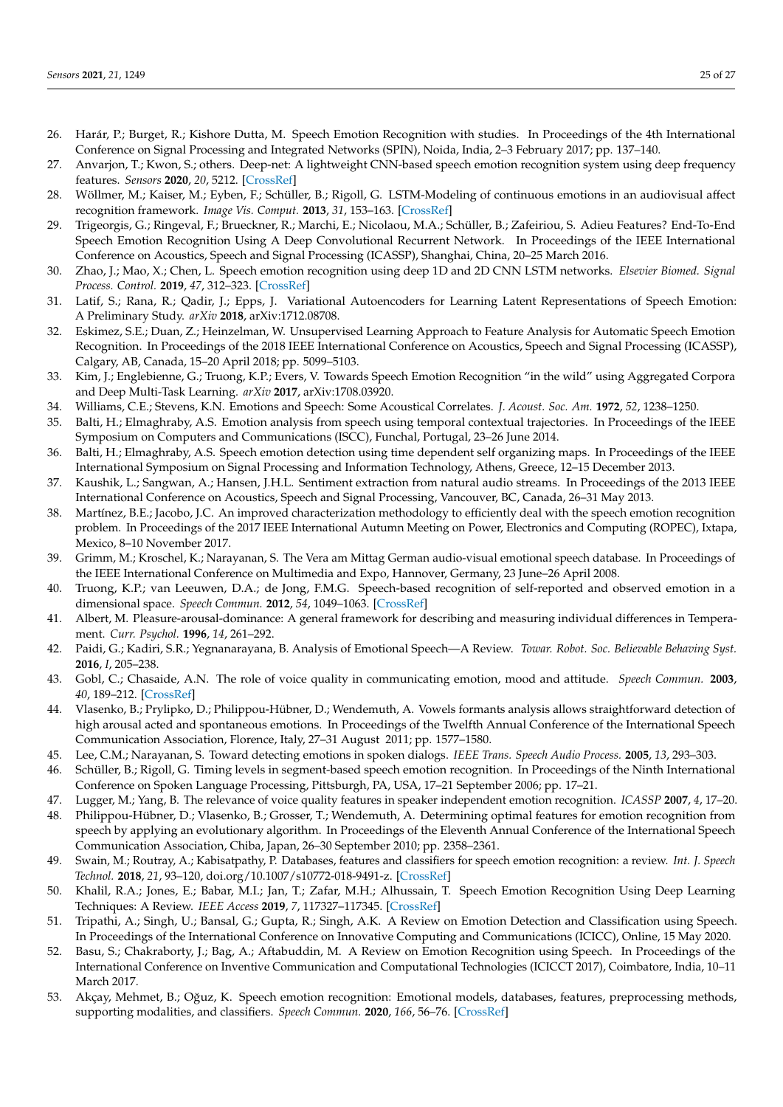- <span id="page-24-33"></span><span id="page-24-32"></span><span id="page-24-31"></span><span id="page-24-30"></span><span id="page-24-29"></span><span id="page-24-28"></span><span id="page-24-27"></span><span id="page-24-22"></span>26. Harár, P.; Burget, R.; Kishore Dutta, M. Speech Emotion Recognition with studies. In Proceedings of the 4th International Conference on Signal Processing and Integrated Networks (SPIN), Noida, India, 2–3 February 2017; pp. 137–140.
- <span id="page-24-0"></span>27. Anvarjon, T.; Kwon, S.; others. Deep-net: A lightweight CNN-based speech emotion recognition system using deep frequency features. *Sensors* **2020**, *20*, 5212. [\[CrossRef\]](http://dx.doi.org/10.3390/s20185212)
- <span id="page-24-1"></span>28. Wöllmer, M.; Kaiser, M.; Eyben, F.; Schüller, B.; Rigoll, G. LSTM-Modeling of continuous emotions in an audiovisual affect recognition framework. *Image Vis. Comput.* **2013**, *31*, 153–163. [\[CrossRef\]](http://dx.doi.org/10.1016/j.imavis.2012.03.001)
- <span id="page-24-23"></span>29. Trigeorgis, G.; Ringeval, F.; Brueckner, R.; Marchi, E.; Nicolaou, M.A.; Schüller, B.; Zafeiriou, S. Adieu Features? End-To-End Speech Emotion Recognition Using A Deep Convolutional Recurrent Network. In Proceedings of the IEEE International Conference on Acoustics, Speech and Signal Processing (ICASSP), Shanghai, China, 20–25 March 2016.
- <span id="page-24-24"></span>30. Zhao, J.; Mao, X.; Chen, L. Speech emotion recognition using deep 1D and 2D CNN LSTM networks. *Elsevier Biomed. Signal Process. Control.* **2019**, *47*, 312–323. [\[CrossRef\]](http://dx.doi.org/10.1016/j.bspc.2018.08.035)
- <span id="page-24-25"></span>31. Latif, S.; Rana, R.; Qadir, J.; Epps, J. Variational Autoencoders for Learning Latent Representations of Speech Emotion: A Preliminary Study. *arXiv* **2018**, arXiv:1712.08708.
- <span id="page-24-26"></span>32. Eskimez, S.E.; Duan, Z.; Heinzelman, W. Unsupervised Learning Approach to Feature Analysis for Automatic Speech Emotion Recognition. In Proceedings of the 2018 IEEE International Conference on Acoustics, Speech and Signal Processing (ICASSP), Calgary, AB, Canada, 15–20 April 2018; pp. 5099–5103.
- <span id="page-24-2"></span>33. Kim, J.; Englebienne, G.; Truong, K.P.; Evers, V. Towards Speech Emotion Recognition "in the wild" using Aggregated Corpora and Deep Multi-Task Learning. *arXiv* **2017**, arXiv:1708.03920.
- <span id="page-24-3"></span>34. Williams, C.E.; Stevens, K.N. Emotions and Speech: Some Acoustical Correlates. *J. Acoust. Soc. Am.* **1972**, *52*, 1238–1250.
- <span id="page-24-4"></span>35. Balti, H.; Elmaghraby, A.S. Emotion analysis from speech using temporal contextual trajectories. In Proceedings of the IEEE Symposium on Computers and Communications (ISCC), Funchal, Portugal, 23–26 June 2014.
- 36. Balti, H.; Elmaghraby, A.S. Speech emotion detection using time dependent self organizing maps. In Proceedings of the IEEE International Symposium on Signal Processing and Information Technology, Athens, Greece, 12–15 December 2013.
- <span id="page-24-21"></span>37. Kaushik, L.; Sangwan, A.; Hansen, J.H.L. Sentiment extraction from natural audio streams. In Proceedings of the 2013 IEEE International Conference on Acoustics, Speech and Signal Processing, Vancouver, BC, Canada, 26–31 May 2013.
- <span id="page-24-5"></span>38. Martínez, B.E.; Jacobo, J.C. An improved characterization methodology to efficiently deal with the speech emotion recognition problem. In Proceedings of the 2017 IEEE International Autumn Meeting on Power, Electronics and Computing (ROPEC), Ixtapa, Mexico, 8–10 November 2017.
- <span id="page-24-6"></span>39. Grimm, M.; Kroschel, K.; Narayanan, S. The Vera am Mittag German audio-visual emotional speech database. In Proceedings of the IEEE International Conference on Multimedia and Expo, Hannover, Germany, 23 June–26 April 2008.
- <span id="page-24-7"></span>40. Truong, K.P.; van Leeuwen, D.A.; de Jong, F.M.G. Speech-based recognition of self-reported and observed emotion in a dimensional space. *Speech Commun.* **2012**, *54*, 1049–1063. [\[CrossRef\]](http://dx.doi.org/10.1016/j.specom.2012.04.006)
- <span id="page-24-8"></span>41. Albert, M. Pleasure-arousal-dominance: A general framework for describing and measuring individual differences in Temperament. *Curr. Psychol.* **1996**, *14*, 261–292.
- <span id="page-24-9"></span>42. Paidi, G.; Kadiri, S.R.; Yegnanarayana, B. Analysis of Emotional Speech—A Review. *Towar. Robot. Soc. Believable Behaving Syst.* **2016**, *I*, 205–238.
- <span id="page-24-10"></span>43. Gobl, C.; Chasaide, A.N. The role of voice quality in communicating emotion, mood and attitude. *Speech Commun.* **2003**, *40*, 189–212. [\[CrossRef\]](http://dx.doi.org/10.1016/S0167-6393(02)00082-1)
- <span id="page-24-11"></span>44. Vlasenko, B.; Prylipko, D.; Philippou-Hübner, D.; Wendemuth, A. Vowels formants analysis allows straightforward detection of high arousal acted and spontaneous emotions. In Proceedings of the Twelfth Annual Conference of the International Speech Communication Association, Florence, Italy, 27–31 August 2011; pp. 1577–1580.
- <span id="page-24-12"></span>45. Lee, C.M.; Narayanan, S. Toward detecting emotions in spoken dialogs. *IEEE Trans. Speech Audio Process.* **2005**, *13*, 293–303.
- <span id="page-24-13"></span>46. Schüller, B.; Rigoll, G. Timing levels in segment-based speech emotion recognition. In Proceedings of the Ninth International Conference on Spoken Language Processing, Pittsburgh, PA, USA, 17–21 September 2006; pp. 17–21.
- <span id="page-24-14"></span>47. Lugger, M.; Yang, B. The relevance of voice quality features in speaker independent emotion recognition. *ICASSP* **2007**, *4*, 17–20.
- <span id="page-24-15"></span>48. Philippou-Hübner, D.; Vlasenko, B.; Grosser, T.; Wendemuth, A. Determining optimal features for emotion recognition from speech by applying an evolutionary algorithm. In Proceedings of the Eleventh Annual Conference of the International Speech Communication Association, Chiba, Japan, 26–30 September 2010; pp. 2358–2361.
- <span id="page-24-16"></span>49. Swain, M.; Routray, A.; Kabisatpathy, P. Databases, features and classifiers for speech emotion recognition: a review. *Int. J. Speech Technol.* **2018**, *21*, 93–120, doi.org/10.1007/s10772-018-9491-z. [\[CrossRef\]](http://dx.doi.org/10.1007/s10772-018-9491-z)
- <span id="page-24-17"></span>50. Khalil, R.A.; Jones, E.; Babar, M.I.; Jan, T.; Zafar, M.H.; Alhussain, T. Speech Emotion Recognition Using Deep Learning Techniques: A Review. *IEEE Access* **2019**, *7*, 117327–117345. [\[CrossRef\]](http://dx.doi.org/10.1109/ACCESS.2019.2936124)
- <span id="page-24-18"></span>51. Tripathi, A.; Singh, U.; Bansal, G.; Gupta, R.; Singh, A.K. A Review on Emotion Detection and Classification using Speech. In Proceedings of the International Conference on Innovative Computing and Communications (ICICC), Online, 15 May 2020.
- <span id="page-24-19"></span>52. Basu, S.; Chakraborty, J.; Bag, A.; Aftabuddin, M. A Review on Emotion Recognition using Speech. In Proceedings of the International Conference on Inventive Communication and Computational Technologies (ICICCT 2017), Coimbatore, India, 10–11 March 2017.
- <span id="page-24-20"></span>53. Akçay, Mehmet, B.; Oğuz, K. Speech emotion recognition: Emotional models, databases, features, preprocessing methods, supporting modalities, and classifiers. *Speech Commun.* **2020**, *166*, 56–76. [\[CrossRef\]](http://dx.doi.org/10.1016/j.specom.2019.12.001)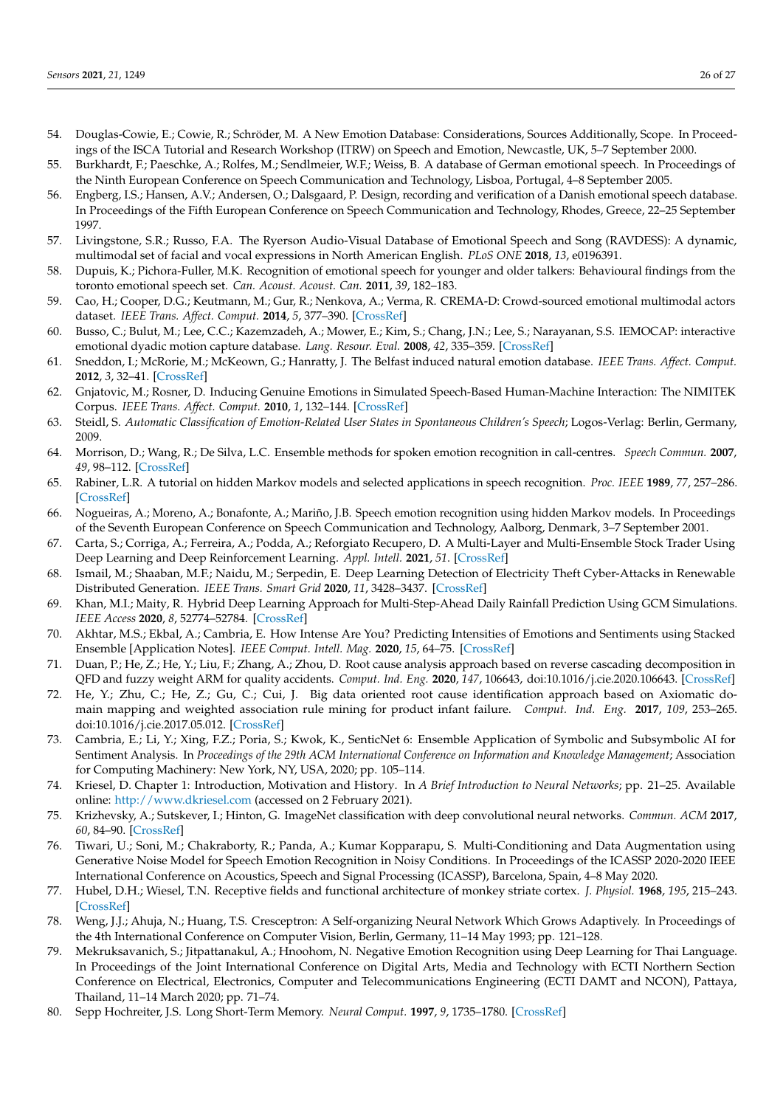- <span id="page-25-0"></span>54. Douglas-Cowie, E.; Cowie, R.; Schröder, M. A New Emotion Database: Considerations, Sources Additionally, Scope. In Proceedings of the ISCA Tutorial and Research Workshop (ITRW) on Speech and Emotion, Newcastle, UK, 5–7 September 2000.
- <span id="page-25-1"></span>55. Burkhardt, F.; Paeschke, A.; Rolfes, M.; Sendlmeier, W.F.; Weiss, B. A database of German emotional speech. In Proceedings of the Ninth European Conference on Speech Communication and Technology, Lisboa, Portugal, 4–8 September 2005.
- <span id="page-25-2"></span>56. Engberg, I.S.; Hansen, A.V.; Andersen, O.; Dalsgaard, P. Design, recording and verification of a Danish emotional speech database. In Proceedings of the Fifth European Conference on Speech Communication and Technology, Rhodes, Greece, 22–25 September 1997.
- <span id="page-25-3"></span>57. Livingstone, S.R.; Russo, F.A. The Ryerson Audio-Visual Database of Emotional Speech and Song (RAVDESS): A dynamic, multimodal set of facial and vocal expressions in North American English. *PLoS ONE* **2018**, *13*, e0196391.
- <span id="page-25-4"></span>58. Dupuis, K.; Pichora-Fuller, M.K. Recognition of emotional speech for younger and older talkers: Behavioural findings from the toronto emotional speech set. *Can. Acoust. Acoust. Can.* **2011**, *39*, 182–183.
- <span id="page-25-5"></span>59. Cao, H.; Cooper, D.G.; Keutmann, M.; Gur, R.; Nenkova, A.; Verma, R. CREMA-D: Crowd-sourced emotional multimodal actors dataset. *IEEE Trans. Affect. Comput.* **2014**, *5*, 377–390. [\[CrossRef\]](http://dx.doi.org/10.1109/TAFFC.2014.2336244)
- <span id="page-25-6"></span>60. Busso, C.; Bulut, M.; Lee, C.C.; Kazemzadeh, A.; Mower, E.; Kim, S.; Chang, J.N.; Lee, S.; Narayanan, S.S. IEMOCAP: interactive emotional dyadic motion capture database. *Lang. Resour. Eval.* **2008**, *42*, 335–359. [\[CrossRef\]](http://dx.doi.org/10.1007/s10579-008-9076-6)
- <span id="page-25-7"></span>61. Sneddon, I.; McRorie, M.; McKeown, G.; Hanratty, J. The Belfast induced natural emotion database. *IEEE Trans. Affect. Comput.* **2012**, *3*, 32–41. [\[CrossRef\]](http://dx.doi.org/10.1109/T-AFFC.2011.26)
- <span id="page-25-8"></span>62. Gnjatovic, M.; Rosner, D. Inducing Genuine Emotions in Simulated Speech-Based Human-Machine Interaction: The NIMITEK Corpus. *IEEE Trans. Affect. Comput.* **2010**, *1*, 132–144. [\[CrossRef\]](http://dx.doi.org/10.1109/T-AFFC.2010.14)
- <span id="page-25-9"></span>63. Steidl, S. *Automatic Classification of Emotion-Related User States in Spontaneous Children's Speech*; Logos-Verlag: Berlin, Germany, 2009.
- <span id="page-25-10"></span>64. Morrison, D.; Wang, R.; De Silva, L.C. Ensemble methods for spoken emotion recognition in call-centres. *Speech Commun.* **2007**, *49*, 98–112. [\[CrossRef\]](http://dx.doi.org/10.1016/j.specom.2006.11.004)
- <span id="page-25-11"></span>65. Rabiner, L.R. A tutorial on hidden Markov models and selected applications in speech recognition. *Proc. IEEE* **1989**, *77*, 257–286. [\[CrossRef\]](http://dx.doi.org/10.1109/5.18626)
- <span id="page-25-24"></span><span id="page-25-12"></span>66. Nogueiras, A.; Moreno, A.; Bonafonte, A.; Mariño, J.B. Speech emotion recognition using hidden Markov models. In Proceedings of the Seventh European Conference on Speech Communication and Technology, Aalborg, Denmark, 3–7 September 2001.
- <span id="page-25-13"></span>67. Carta, S.; Corriga, A.; Ferreira, A.; Podda, A.; Reforgiato Recupero, D. A Multi-Layer and Multi-Ensemble Stock Trader Using Deep Learning and Deep Reinforcement Learning. *Appl. Intell.* **2021**, *51*. [\[CrossRef\]](http://dx.doi.org/10.1007/s10489-020-01839-5)
- 68. Ismail, M.; Shaaban, M.F.; Naidu, M.; Serpedin, E. Deep Learning Detection of Electricity Theft Cyber-Attacks in Renewable Distributed Generation. *IEEE Trans. Smart Grid* **2020**, *11*, 3428–3437. [\[CrossRef\]](http://dx.doi.org/10.1109/TSG.2020.2973681)
- 69. Khan, M.I.; Maity, R. Hybrid Deep Learning Approach for Multi-Step-Ahead Daily Rainfall Prediction Using GCM Simulations. *IEEE Access* **2020**, *8*, 52774–52784. [\[CrossRef\]](http://dx.doi.org/10.1109/ACCESS.2020.2980977)
- <span id="page-25-25"></span><span id="page-25-15"></span>70. Akhtar, M.S.; Ekbal, A.; Cambria, E. How Intense Are You? Predicting Intensities of Emotions and Sentiments using Stacked Ensemble [Application Notes]. *IEEE Comput. Intell. Mag.* **2020**, *15*, 64–75. [\[CrossRef\]](http://dx.doi.org/10.1109/MCI.2019.2954667)
- 71. Duan, P.; He, Z.; He, Y.; Liu, F.; Zhang, A.; Zhou, D. Root cause analysis approach based on reverse cascading decomposition in QFD and fuzzy weight ARM for quality accidents. *Comput. Ind. Eng.* **2020**, *147*, 106643, doi:10.1016/j.cie.2020.106643. [\[CrossRef\]](http://dx.doi.org/10.1016/j.cie.2020.106643)
- <span id="page-25-14"></span>72. He, Y.; Zhu, C.; He, Z.; Gu, C.; Cui, J. Big data oriented root cause identification approach based on Axiomatic domain mapping and weighted association rule mining for product infant failure. *Comput. Ind. Eng.* **2017**, *109*, 253–265. doi:10.1016/j.cie.2017.05.012. [\[CrossRef\]](http://dx.doi.org/10.1016/j.cie.2017.05.012)
- <span id="page-25-16"></span>73. Cambria, E.; Li, Y.; Xing, F.Z.; Poria, S.; Kwok, K., SenticNet 6: Ensemble Application of Symbolic and Subsymbolic AI for Sentiment Analysis. In *Proceedings of the 29th ACM International Conference on Information and Knowledge Management*; Association for Computing Machinery: New York, NY, USA, 2020; pp. 105–114.
- <span id="page-25-17"></span>74. Kriesel, D. Chapter 1: Introduction, Motivation and History. In *A Brief Introduction to Neural Networks*; pp. 21–25. Available online: <http://www.dkriesel.com> (accessed on 2 February 2021).
- <span id="page-25-18"></span>75. Krizhevsky, A.; Sutskever, I.; Hinton, G. ImageNet classification with deep convolutional neural networks. *Commun. ACM* **2017**, *60*, 84–90. [\[CrossRef\]](http://dx.doi.org/10.1145/3065386)
- <span id="page-25-19"></span>76. Tiwari, U.; Soni, M.; Chakraborty, R.; Panda, A.; Kumar Kopparapu, S. Multi-Conditioning and Data Augmentation using Generative Noise Model for Speech Emotion Recognition in Noisy Conditions. In Proceedings of the ICASSP 2020-2020 IEEE International Conference on Acoustics, Speech and Signal Processing (ICASSP), Barcelona, Spain, 4–8 May 2020.
- <span id="page-25-20"></span>77. Hubel, D.H.; Wiesel, T.N. Receptive fields and functional architecture of monkey striate cortex. *J. Physiol.* **1968**, *195*, 215–243. [\[CrossRef\]](http://dx.doi.org/10.1113/jphysiol.1968.sp008455)
- <span id="page-25-21"></span>78. Weng, J.J.; Ahuja, N.; Huang, T.S. Cresceptron: A Self-organizing Neural Network Which Grows Adaptively. In Proceedings of the 4th International Conference on Computer Vision, Berlin, Germany, 11–14 May 1993; pp. 121–128.
- <span id="page-25-22"></span>79. Mekruksavanich, S.; Jitpattanakul, A.; Hnoohom, N. Negative Emotion Recognition using Deep Learning for Thai Language. In Proceedings of the Joint International Conference on Digital Arts, Media and Technology with ECTI Northern Section Conference on Electrical, Electronics, Computer and Telecommunications Engineering (ECTI DAMT and NCON), Pattaya, Thailand, 11–14 March 2020; pp. 71–74.
- <span id="page-25-23"></span>80. Sepp Hochreiter, J.S. Long Short-Term Memory. *Neural Comput.* **1997**, *9*, 1735–1780. [\[CrossRef\]](http://dx.doi.org/10.1162/neco.1997.9.8.1735)